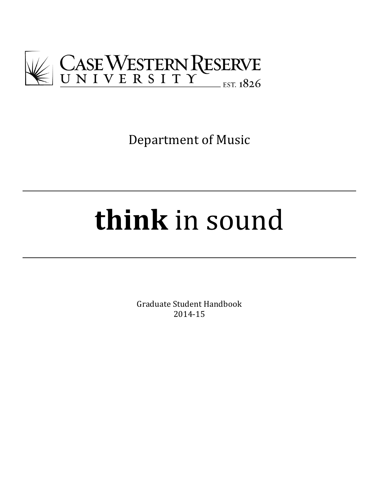

Department of Music

# **think** in sound

Graduate Student Handbook 2014-15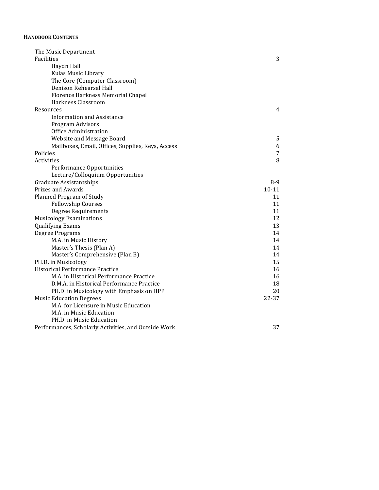#### **HANDBOOK CONTENTS**

| The Music Department                                 |           |
|------------------------------------------------------|-----------|
| Facilities                                           | 3         |
| Haydn Hall                                           |           |
| Kulas Music Library                                  |           |
| The Core (Computer Classroom)                        |           |
| Denison Rehearsal Hall                               |           |
| Florence Harkness Memorial Chapel                    |           |
| Harkness Classroom                                   |           |
| Resources                                            | 4         |
| <b>Information and Assistance</b>                    |           |
| Program Advisors                                     |           |
| Office Administration                                |           |
| Website and Message Board                            | 5         |
| Mailboxes, Email, Offices, Supplies, Keys, Access    | 6         |
| Policies                                             | 7         |
| Activities                                           | 8         |
| Performance Opportunities                            |           |
| Lecture/Colloquium Opportunities                     |           |
| Graduate Assistantships                              | 8-9       |
| <b>Prizes and Awards</b>                             | $10 - 11$ |
| Planned Program of Study                             | 11        |
| <b>Fellowship Courses</b>                            | 11        |
| Degree Requirements                                  | 11        |
| <b>Musicology Examinations</b>                       | 12        |
| <b>Qualifying Exams</b>                              | 13        |
| Degree Programs                                      | 14        |
| M.A. in Music History                                | 14        |
| Master's Thesis (Plan A)                             | 14        |
| Master's Comprehensive (Plan B)                      | 14        |
| PH.D. in Musicology                                  | 15        |
| Historical Performance Practice                      | 16        |
| M.A. in Historical Performance Practice              | 16        |
| D.M.A. in Historical Performance Practice            | 18        |
| PH.D. in Musicology with Emphasis on HPP             | 20        |
| <b>Music Education Degrees</b>                       | 22-37     |
| M.A. for Licensure in Music Education                |           |
| M.A. in Music Education                              |           |
| PH.D. in Music Education                             |           |
| Performances, Scholarly Activities, and Outside Work | 37        |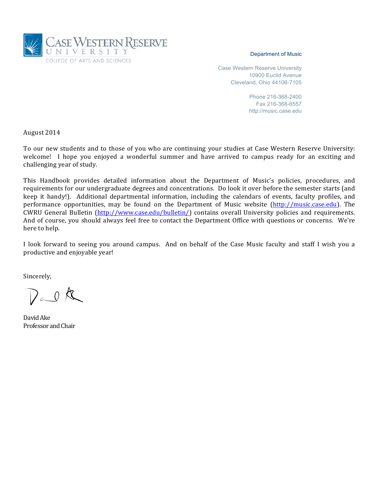

#### Department of Music

Case Western Reserve University 10900 Euclid Avenue Cleveland, Ohio 44106-7105

> Phone 216-368-2400 Fax 216-368-6557 http://music.case.edu

August 2014

To our new students and to those of you who are continuing your studies at Case Western Reserve University: welcome! I hope you enjoyed a wonderful summer and have arrived to campus ready for an exciting and challenging year of study.

This Handbook provides detailed information about the Department of Music's policies, procedures, and requirements for our undergraduate degrees and concentrations. Do look it over before the semester starts (and keep it handy!). Additional departmental information, including the calendars of events, faculty profiles, and performance opportunities, may be found on the Department of Music website (http://music.case.edu). The CWRU General Bulletin (http://www.case.edu/bulletin/) contains overall University policies and requirements. And of course, you should always feel free to contact the Department Office with questions or concerns. We're here to help.

I look forward to seeing you around campus. And on behalf of the Case Music faculty and staff I wish you a productive and enjoyable year!

Sincerely,

 $D_{\infty}0$  k

David Ake Professor and Chair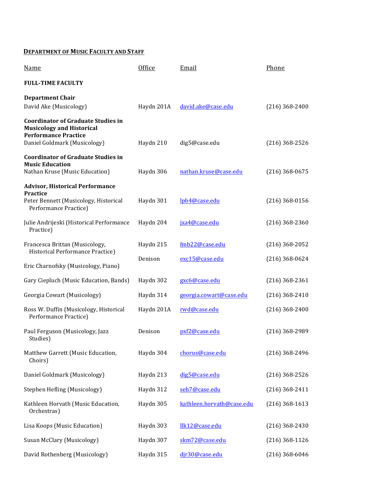## **DEPARTMENT OF MUSIC FACULTY AND STAFF**

| <b>Name</b>                                                                                                                                  | Office     | Email                     | Phone            |
|----------------------------------------------------------------------------------------------------------------------------------------------|------------|---------------------------|------------------|
| <b>FULL-TIME FACULTY</b>                                                                                                                     |            |                           |                  |
| <b>Department Chair</b><br>David Ake (Musicology)                                                                                            | Haydn 201A | david.ake@case.edu        | $(216)$ 368-2400 |
| <b>Coordinator of Graduate Studies in</b><br><b>Musicology and Historical</b><br><b>Performance Practice</b><br>Daniel Goldmark (Musicology) | Haydn 210  | dig5@case.edu             | $(216)$ 368-2526 |
| <b>Coordinator of Graduate Studies in</b><br><b>Music Education</b><br>Nathan Kruse (Music Education)                                        | Haydn 306  | nathan.kruse@case.edu     | $(216)$ 368-0675 |
| <b>Advisor, Historical Performance</b>                                                                                                       |            |                           |                  |
| Practice<br>Peter Bennett (Musicology, Historical<br>Performance Practice)                                                                   | Haydn 301  | lpb4@case.edu             | $(216)$ 368-0156 |
| Julie Andrijeski (Historical Performance<br>Practice)                                                                                        | Haydn 204  | jxa4@case.edu             | $(216)$ 368-2360 |
| Francesca Brittan (Musicology,<br>Historical Performance Practice)                                                                           | Haydn 215  | fmb22@case.edu            | $(216)$ 368-2052 |
| Eric Charnofsky (Musicology, Piano)                                                                                                          | Denison    | exc15@case.edu            | $(216)$ 368-0624 |
| Gary Ciepluch (Music Education, Bands)                                                                                                       | Haydn 302  | gxc6@case.edu             | $(216)$ 368-2361 |
| Georgia Cowart (Musicology)                                                                                                                  | Haydn 314  | georgia.cowart@case.edu   | $(216)$ 368-2410 |
| Ross W. Duffin (Musicology, Historical<br>Performance Practice)                                                                              | Haydn 201A | rwd@case.edu              | $(216)$ 368-2400 |
| Paul Ferguson (Musicology, Jazz<br>Studies)                                                                                                  | Denison    | pxf2@case.edu             | $(216)$ 368-2989 |
| Matthew Garrett (Music Education,<br>Choirs)                                                                                                 | Haydn 304  | chorus@case.edu           | $(216)$ 368-2496 |
| Daniel Goldmark (Musicology)                                                                                                                 | Haydn 213  | dig5@case.edu             | $(216)$ 368-2526 |
| Stephen Hefling (Musicology)                                                                                                                 | Haydn 312  | seh7@case.edu             | $(216)$ 368-2411 |
| Kathleen Horvath (Music Education,<br>Orchestras)                                                                                            | Haydn 305  | kathleen.horvath@case.edu | $(216)$ 368-1613 |
| Lisa Koops (Music Education)                                                                                                                 | Haydn 303  | llk12@case.edu            | $(216)$ 368-2430 |
| Susan McClary (Musicology)                                                                                                                   | Haydn 307  | skm72@case.edu            | $(216)$ 368-1126 |
| David Rothenberg (Musicology)                                                                                                                | Haydn 315  | djr30@case.edu            | $(216)$ 368-6046 |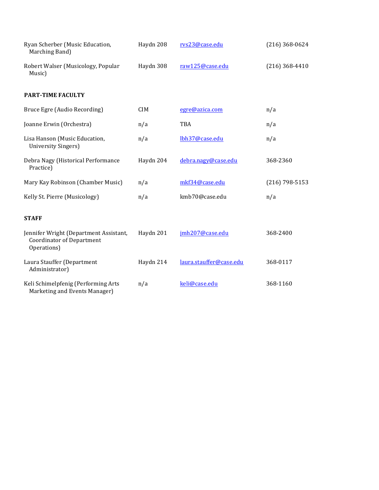| Ryan Scherber (Music Education,<br>Marching Band)                                         | Haydn 208  | rvs23@case.edu          | $(216)$ 368-0624 |
|-------------------------------------------------------------------------------------------|------------|-------------------------|------------------|
| Robert Walser (Musicology, Popular<br>Music)                                              | Haydn 308  | raw125@case.edu         | $(216)$ 368-4410 |
| <b>PART-TIME FACULTY</b>                                                                  |            |                         |                  |
| Bruce Egre (Audio Recording)                                                              | <b>CIM</b> | egre@azica.com          | n/a              |
| Joanne Erwin (Orchestra)                                                                  | n/a        | TBA                     | n/a              |
| Lisa Hanson (Music Education,<br>University Singers)                                      | n/a        | lbh37@case.edu          | n/a              |
| Debra Nagy (Historical Performance<br>Practice)                                           | Haydn 204  | debra.nagy@case.edu     | 368-2360         |
| Mary Kay Robinson (Chamber Music)                                                         | n/a        | mkf34@case.edu          | $(216)$ 798-5153 |
| Kelly St. Pierre (Musicology)                                                             | n/a        | kmb70@case.edu          | n/a              |
| <b>STAFF</b>                                                                              |            |                         |                  |
| Jennifer Wright (Department Assistant,<br><b>Coordinator of Department</b><br>Operations) | Haydn 201  | jmh207@case.edu         | 368-2400         |
| Laura Stauffer (Department<br>Administrator)                                              | Haydn 214  | laura.stauffer@case.edu | 368-0117         |
| Keli Schimelpfenig (Performing Arts<br>Marketing and Events Manager)                      | n/a        | keli@case.edu           | 368-1160         |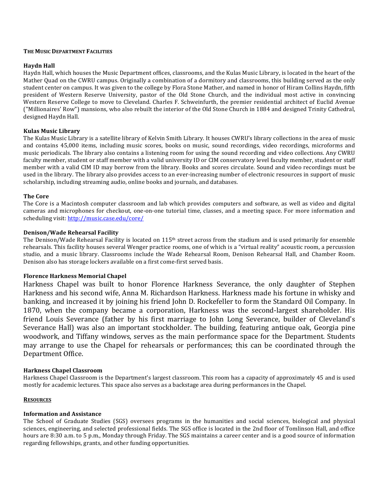#### **THE MUSIC DEPARTMENT FACILITIES**

#### **Haydn Hall**

Haydn Hall, which houses the Music Department offices, classrooms, and the Kulas Music Library, is located in the heart of the Mather Quad on the CWRU campus. Originally a combination of a dormitory and classrooms, this building served as the only student center on campus. It was given to the college by Flora Stone Mather, and named in honor of Hiram Collins Haydn, fifth president of Western Reserve University, pastor of the Old Stone Church, and the individual most active in convincing Western Reserve College to move to Cleveland. Charles F. Schweinfurth, the premier residential architect of Euclid Avenue ("Millionaires' Row") mansions, who also rebuilt the interior of the Old Stone Church in 1884 and designed Trinity Cathedral, designed Haydn Hall.

#### **Kulas Music Library**

The Kulas Music Library is a satellite library of Kelvin Smith Library. It houses CWRU's library collections in the area of music and contains 45,000 items, including music scores, books on music, sound recordings, video recordings, microforms and music periodicals. The library also contains a listening room for using the sound recording and video collections. Any CWRU faculty member, student or staff member with a valid university ID or CIM conservatory level faculty member, student or staff member with a valid CIM ID may borrow from the library. Books and scores circulate. Sound and video recordings must be used in the library. The library also provides access to an ever-increasing number of electronic resources in support of music scholarship, including streaming audio, online books and journals, and databases.

#### **The Core**

The Core is a Macintosh computer classroom and lab which provides computers and software, as well as video and digital cameras and microphones for checkout, one-on-one tutorial time, classes, and a meeting space. For more information and scheduling visit: http://music.case.edu/core/

#### **Denison/Wade Rehearsal Facility**

The Denison/Wade Rehearsal Facility is located on  $115<sup>th</sup>$  street across from the stadium and is used primarily for ensemble rehearsals. This facility houses several Wenger practice rooms, one of which is a "virtual reality" acoustic room, a percussion studio, and a music library. Classrooms include the Wade Rehearsal Room, Denison Rehearsal Hall, and Chamber Room. Denison also has storage lockers available on a first come-first served basis.

### **Florence Harkness Memorial Chapel**

Harkness Chapel was built to honor Florence Harkness Severance, the only daughter of Stephen Harkness and his second wife, Anna M. Richardson Harkness. Harkness made his fortune in whisky and banking, and increased it by joining his friend John D. Rockefeller to form the Standard Oil Company. In 1870, when the company became a corporation, Harkness was the second-largest shareholder. His friend Louis Severance (father by his first marriage to John Long Severance, builder of Cleveland's Severance Hall) was also an important stockholder. The building, featuring antique oak, Georgia pine woodwork, and Tiffany windows, serves as the main performance space for the Department. Students may arrange to use the Chapel for rehearsals or performances; this can be coordinated through the Department Office.

#### **Harkness Chapel Classroom**

Harkness Chapel Classroom is the Department's largest classroom. This room has a capacity of approximately 45 and is used mostly for academic lectures. This space also serves as a backstage area during performances in the Chapel.

#### **RESOURCES**

### **Information and Assistance**

The School of Graduate Studies (SGS) oversees programs in the humanities and social sciences, biological and physical sciences, engineering, and selected professional fields. The SGS office is located in the 2nd floor of Tomlinson Hall, and office hours are 8:30 a.m. to 5 p.m., Monday through Friday. The SGS maintains a career center and is a good source of information regarding fellowships, grants, and other funding opportunities.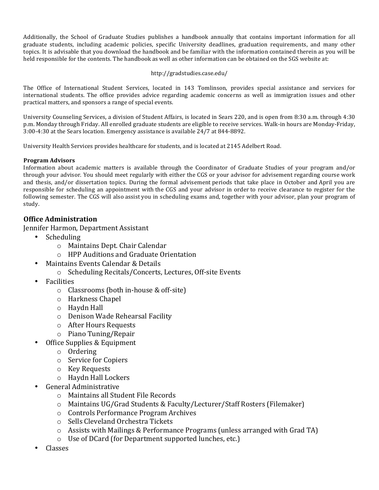Additionally, the School of Graduate Studies publishes a handbook annually that contains important information for all graduate students, including academic policies, specific University deadlines, graduation requirements, and many other topics. It is advisable that you download the handbook and be familiar with the information contained therein as you will be held responsible for the contents. The handbook as well as other information can be obtained on the SGS website at:

## http://gradstudies.case.edu/

The Office of International Student Services, located in 143 Tomlinson, provides special assistance and services for international students. The office provides advice regarding academic concerns as well as immigration issues and other practical matters, and sponsors a range of special events.

University Counseling Services, a division of Student Affairs, is located in Sears 220, and is open from 8:30 a.m. through 4:30 p.m. Monday through Friday. All enrolled graduate students are eligible to receive services. Walk-in hours are Monday-Friday, 3:00-4:30 at the Sears location. Emergency assistance is available  $24/7$  at 844-8892.

University Health Services provides healthcare for students, and is located at 2145 Adelbert Road.

## **Program Advisors**

Information about academic matters is available through the Coordinator of Graduate Studies of your program and/or through your advisor. You should meet regularly with either the CGS or your advisor for advisement regarding course work and thesis, and/or dissertation topics. During the formal advisement periods that take place in October and April you are responsible for scheduling an appointment with the CGS and your advisor in order to receive clearance to register for the following semester. The CGS will also assist you in scheduling exams and, together with your advisor, plan your program of study.

# **Office Administration**

Jennifer Harmon, Department Assistant

- Scheduling
	- o Maintains Dept. Chair Calendar
	- o HPP Auditions and Graduate Orientation
	- Maintains Events Calendar & Details
		- o Scheduling Recitals/Concerts, Lectures, Off-site Events
- Facilities
	- $\circ$  Classrooms (both in-house & off-site)
	- o Harkness Chapel
	- $\circ$  Haydn Hall
	- o Denison Wade Rehearsal Facility
	- $\circ$  After Hours Requests
	- o Piano Tuning/Repair
- **Office Supplies & Equipment** 
	- o Ordering
	- $\circ$  Service for Copiers
	- o Key Requests
	- o Haydn Hall Lockers
- General Administrative
	- o Maintains all Student File Records
	- o Maintains UG/Grad Students & Faculty/Lecturer/Staff Rosters (Filemaker)
	- o Controls Performance Program Archives
	- o Sells Cleveland Orchestra Tickets
	- $\circ$  Assists with Mailings & Performance Programs (unless arranged with Grad TA)
	- o Use of DCard (for Department supported lunches, etc.)
- Classes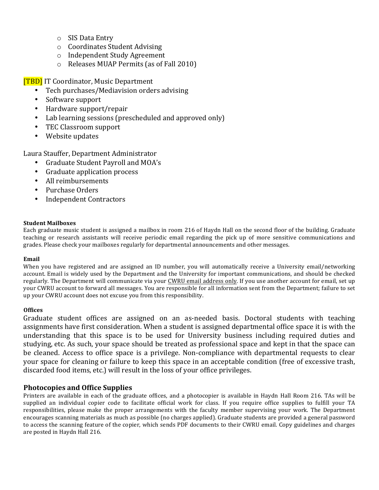- $\circ$  SIS Data Entry
- o Coordinates Student Advising
- o Independent Study Agreement
- $\circ$  Releases MUAP Permits (as of Fall 2010)

**[TBD]** IT Coordinator, Music Department

- Tech purchases/Mediavision orders advising
- Software support
- Hardware support/repair
- Lab learning sessions (prescheduled and approved only)
- TEC Classroom support
- Website updates

Laura Stauffer, Department Administrator

- Graduate Student Payroll and MOA's
- Graduate application process
- All reimbursements
- Purchase Orders
- Independent Contractors

## **Student Mailboxes**

Each graduate music student is assigned a mailbox in room 216 of Haydn Hall on the second floor of the building. Graduate teaching or research assistants will receive periodic email regarding the pick up of more sensitive communications and grades. Please check your mailboxes regularly for departmental announcements and other messages.

### **Email**

When you have registered and are assigned an ID number, you will automatically receive a University email/networking account. Email is widely used by the Department and the University for important communications, and should be checked regularly. The Department will communicate via your CWRU email address only. If you use another account for email, set up your CWRU account to forward all messages. You are responsible for all information sent from the Department; failure to set up your CWRU account does not excuse you from this responsibility.

## **Offices**

Graduate student offices are assigned on an as-needed basis. Doctoral students with teaching assignments have first consideration. When a student is assigned departmental office space it is with the understanding that this space is to be used for University business including required duties and studying, etc. As such, your space should be treated as professional space and kept in that the space can be cleaned. Access to office space is a privilege. Non-compliance with departmental requests to clear your space for cleaning or failure to keep this space in an acceptable condition (free of excessive trash, discarded food items, etc.) will result in the loss of your office privileges.

## **Photocopies and Office Supplies**

Printers are available in each of the graduate offices, and a photocopier is available in Haydn Hall Room 216. TAs will be supplied an individual copier code to facilitate official work for class. If you require office supplies to fulfill your TA responsibilities, please make the proper arrangements with the faculty member supervising your work. The Department encourages scanning materials as much as possible (no charges applied). Graduate students are provided a general password to access the scanning feature of the copier, which sends PDF documents to their CWRU email. Copy guidelines and charges are posted in Haydn Hall 216.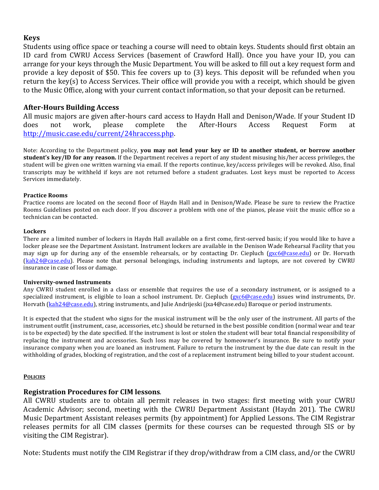## **Keys**

Students using office space or teaching a course will need to obtain keys. Students should first obtain an ID card from CWRU Access Services (basement of Crawford Hall). Once you have your ID, you can arrange for your keys through the Music Department. You will be asked to fill out a key request form and provide a key deposit of \$50. This fee covers up to  $(3)$  keys. This deposit will be refunded when you return the key(s) to Access Services. Their office will provide you with a receipt, which should be given to the Music Office, along with your current contact information, so that your deposit can be returned.

## **After-Hours Building Access**

All music majors are given after-hours card access to Haydn Hall and Denison/Wade. If your Student ID does not work, please complete the After-Hours Access Request Form at http://music.case.edu/current/24hraccess.php. 

Note: According to the Department policy, **you may not lend your key or ID to another student, or borrow another student's key/ID for any reason.** If the Department receives a report of any student misusing his/her access privileges, the student will be given one written warning via email. If the reports continue, key/access privileges will be revoked. Also, final transcripts may be withheld if keys are not returned before a student graduates. Lost keys must be reported to Access Services immediately.

## **Practice Rooms**

Practice rooms are located on the second floor of Haydn Hall and in Denison/Wade. Please be sure to review the Practice Rooms Guidelines posted on each door. If you discover a problem with one of the pianos, please visit the music office so a technician can be contacted.

## **Lockers**

There are a limited number of lockers in Haydn Hall available on a first come, first-served basis; if you would like to have a locker please see the Department Assistant. Instrument lockers are available in the Denison Wade Rehearsal Facility that you may sign up for during any of the ensemble rehearsals, or by contacting Dr. Ciepluch  $(gx c6@case.edu)$  or Dr. Horvath  $(kah24@case.edu)$ . Please note that personal belongings, including instruments and laptops, are not covered by CWRU insurance in case of loss or damage.

## **University-owned Instruments**

Any CWRU student enrolled in a class or ensemble that requires the use of a secondary instrument, or is assigned to a specialized instrument, is eligible to loan a school instrument. Dr. Ciepluch (gxc6@case.edu) issues wind instruments, Dr. Horvath (kah24@case.edu), string instruments, and Julie Andrijeski (jxa4@case.edu) Baroque or period instruments.

It is expected that the student who signs for the musical instrument will be the only user of the instrument. All parts of the instrument outfit (instrument, case, accessories, etc.) should be returned in the best possible condition (normal wear and tear is to be expected) by the date specified. If the instrument is lost or stolen the student will bear total financial responsibility of replacing the instrument and accessories. Such loss may be covered by homeowner's insurance. Be sure to notify your insurance company when you are loaned an instrument. Failure to return the instrument by the due date can result in the withholding of grades, blocking of registration, and the cost of a replacement instrument being billed to your student account.

## **POLICIES**

# **Registration Procedures for CIM lessons.**

All CWRU students are to obtain all permit releases in two stages: first meeting with your CWRU Academic Advisor; second, meeting with the CWRU Department Assistant (Haydn 201). The CWRU Music Department Assistant releases permits (by appointment) for Applied Lessons. The CIM Registrar releases permits for all CIM classes (permits for these courses can be requested through SIS or by visiting the CIM Registrar).

Note: Students must notify the CIM Registrar if they drop/withdraw from a CIM class, and/or the CWRU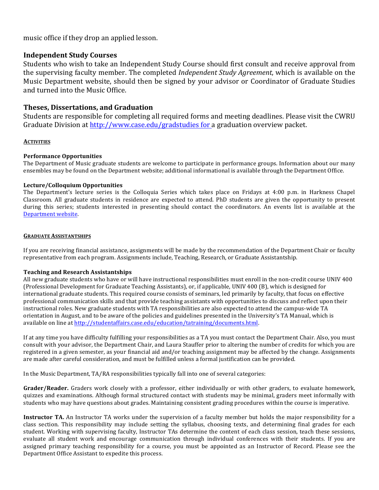music office if they drop an applied lesson.

## **Independent Study Courses**

Students who wish to take an Independent Study Course should first consult and receive approval from the supervising faculty member. The completed *Independent Study Agreement*, which is available on the Music Department website, should then be signed by your advisor or Coordinator of Graduate Studies and turned into the Music Office.

## **Theses, Dissertations, and Graduation**

Students are responsible for completing all required forms and meeting deadlines. Please visit the CWRU Graduate Division at http://www.case.edu/gradstudies for a graduation overview packet.

## **ACTIVITIES**

## **Performance Opportunities**

The Department of Music graduate students are welcome to participate in performance groups. Information about our many ensembles may be found on the Department website; additional informational is available through the Department Office.

## **Lecture/Colloquium Opportunities**

The Department's lecture series is the Colloquia Series which takes place on Fridays at  $4:00$  p.m. in Harkness Chapel Classroom. All graduate students in residence are expected to attend. PhD students are given the opportunity to present during this series; students interested in presenting should contact the coordinators. An events list is available at the Department website.

## **GRADUATE ASSISTANTSHIPS**

If you are receiving financial assistance, assignments will be made by the recommendation of the Department Chair or faculty representative from each program. Assignments include, Teaching, Research, or Graduate Assistantship.

## **Teaching and Research Assistantships**

All new graduate students who have or will have instructional responsibilities must enroll in the non-credit course UNIV 400 (Professional Development for Graduate Teaching Assistants), or, if applicable, UNIV 400 (B), which is designed for international graduate students. This required course consists of seminars, led primarily by faculty, that focus on effective professional communication skills and that provide teaching assistants with opportunities to discuss and reflect upon their instructional roles. New graduate students with TA responsibilities are also expected to attend the campus-wide TA orientation in August, and to be aware of the policies and guidelines presented in the University's TA Manual, which is available on line at http://studentaffairs.case.edu/education/tatraining/documents.html.

If at any time you have difficulty fulfilling your responsibilities as a TA you must contact the Department Chair. Also, you must consult with your advisor, the Department Chair, and Laura Stauffer prior to altering the number of credits for which you are registered in a given semester, as your financial aid and/or teaching assignment may be affected by the change. Assignments are made after careful consideration, and must be fulfilled unless a formal justification can be provided.

In the Music Department, TA/RA responsibilities typically fall into one of several categories:

Grader/Reader. Graders work closely with a professor, either individually or with other graders, to evaluate homework, quizzes and examinations. Although formal structured contact with students may be minimal, graders meet informally with students who may have questions about grades. Maintaining consistent grading procedures within the course is imperative.

**Instructor TA.** An Instructor TA works under the supervision of a faculty member but holds the major responsibility for a class section. This responsibility may include setting the syllabus, choosing texts, and determining final grades for each student. Working with supervising faculty, Instructor TAs determine the content of each class session, teach these sessions, evaluate all student work and encourage communication through individual conferences with their students. If you are assigned primary teaching responsibility for a course, you must be appointed as an Instructor of Record. Please see the Department Office Assistant to expedite this process.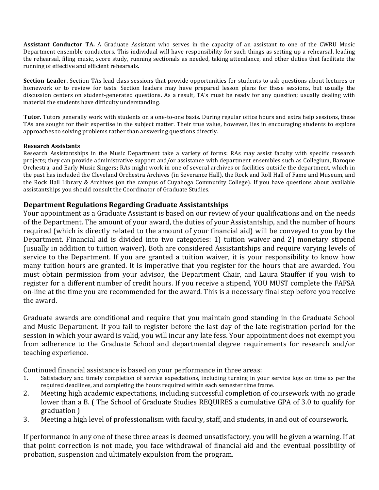**Assistant Conductor TA.** A Graduate Assistant who serves in the capacity of an assistant to one of the CWRU Music Department ensemble conductors. This individual will have responsibility for such things as setting up a rehearsal, leading the rehearsal, filing music, score study, running sectionals as needed, taking attendance, and other duties that facilitate the running of effective and efficient rehearsals.

**Section Leader.** Section TAs lead class sessions that provide opportunities for students to ask questions about lectures or homework or to review for tests. Section leaders may have prepared lesson plans for these sessions, but usually the discussion centers on student-generated questions. As a result, TA's must be ready for any question; usually dealing with material the students have difficulty understanding.

**Tutor.** Tutors generally work with students on a one-to-one basis. During regular office hours and extra help sessions, these TAs are sought for their expertise in the subject matter. Their true value, however, lies in encouraging students to explore approaches to solving problems rather than answering questions directly.

## **Research Assistants**

Research Assistantships in the Music Department take a variety of forms: RAs may assist faculty with specific research projects; they can provide administrative support and/or assistance with department ensembles such as Collegium, Baroque Orchestra, and Early Music Singers; RAs might work in one of several archives or facilities outside the department, which in the past has included the Cleveland Orchestra Archives (in Severance Hall), the Rock and Roll Hall of Fame and Museum, and the Rock Hall Library & Archives (on the campus of Cuyahoga Community College). If you have questions about available assistantships you should consult the Coordinator of Graduate Studies.

# **Department Regulations Regarding Graduate Assistantships**

Your appointment as a Graduate Assistant is based on our review of your qualifications and on the needs of the Department. The amount of your award, the duties of your Assistantship, and the number of hours required (which is directly related to the amount of your financial aid) will be conveyed to you by the Department. Financial aid is divided into two categories: 1) tuition waiver and 2) monetary stipend (usually in addition to tuition waiver). Both are considered Assistantships and require varying levels of service to the Department. If you are granted a tuition waiver, it is your responsibility to know how many tuition hours are granted. It is imperative that you register for the hours that are awarded. You must obtain permission from your advisor, the Department Chair, and Laura Stauffer if you wish to register for a different number of credit hours. If you receive a stipend, YOU MUST complete the FAFSA on-line at the time you are recommended for the award. This is a necessary final step before you receive the award.

Graduate awards are conditional and require that you maintain good standing in the Graduate School and Music Department. If you fail to register before the last day of the late registration period for the session in which your award is valid, you will incur any late fess. Your appointment does not exempt you from adherence to the Graduate School and departmental degree requirements for research and/or teaching experience.

Continued financial assistance is based on your performance in three areas:

- 1. Satisfactory and timely completion of service expectations, including turning in your service logs on time as per the required deadlines, and completing the hours required within each semester time frame.
- 2. Meeting high academic expectations, including successful completion of coursework with no grade lower than a B. (The School of Graduate Studies REQUIRES a cumulative GPA of 3.0 to qualify for graduation )
- 3. Meeting a high level of professionalism with faculty, staff, and students, in and out of coursework.

If performance in any one of these three areas is deemed unsatisfactory, you will be given a warning. If at that point correction is not made, you face withdrawal of financial aid and the eventual possibility of probation, suspension and ultimately expulsion from the program.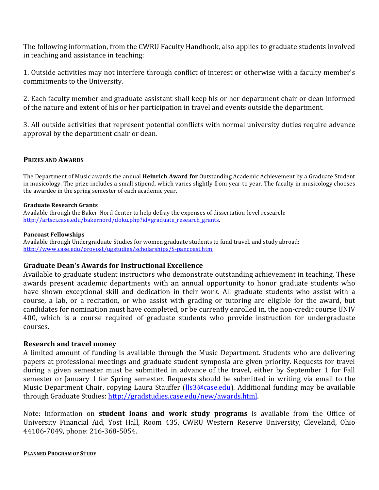The following information, from the CWRU Faculty Handbook, also applies to graduate students involved in teaching and assistance in teaching:

1. Outside activities may not interfere through conflict of interest or otherwise with a faculty member's commitments to the University.

2. Each faculty member and graduate assistant shall keep his or her department chair or dean informed of the nature and extent of his or her participation in travel and events outside the department.

3. All outside activities that represent potential conflicts with normal university duties require advance approval by the department chair or dean.

## **PRIZES AND AWARDS**

The Department of Music awards the annual **Heinrich Award for** Outstanding Academic Achievement by a Graduate Student in musicology. The prize includes a small stipend, which varies slightly from year to year. The faculty in musicology chooses the awardee in the spring semester of each academic year.

## **Graduate Research Grants**

Available through the Baker-Nord Center to help defray the expenses of dissertation-level research: http://artsci.case.edu/bakernord/doku.php?id=graduate\_research\_grants.

## **Pancoast Fellowships**

Available through Undergraduate Studies for women graduate students to fund travel, and study abroad: http://www.case.edu/provost/ugstudies/scholarships/S-pancoast.htm. 

## Graduate Dean's Awards for Instructional Excellence

Available to graduate student instructors who demonstrate outstanding achievement in teaching. These awards present academic departments with an annual opportunity to honor graduate students who have shown exceptional skill and dedication in their work. All graduate students who assist with a course, a lab, or a recitation, or who assist with grading or tutoring are eligible for the award, but candidates for nomination must have completed, or be currently enrolled in, the non-credit course UNIV 400, which is a course required of graduate students who provide instruction for undergraduate courses.

## **Research and travel money**

A limited amount of funding is available through the Music Department. Students who are delivering papers at professional meetings and graduate student symposia are given priority. Requests for travel during a given semester must be submitted in advance of the travel, either by September 1 for Fall semester or January 1 for Spring semester. Requests should be submitted in writing via email to the Music Department Chair, copying Laura Stauffer (Ils3@case.edu). Additional funding may be available through Graduate Studies: http://gradstudies.case.edu/new/awards.html.

Note: Information on **student loans and work study programs** is available from the Office of University Financial Aid, Yost Hall, Room 435, CWRU Western Reserve University, Cleveland, Ohio 44106-7049, phone: 216-368-5054.

**PLANNED PROGRAM OF STUDY**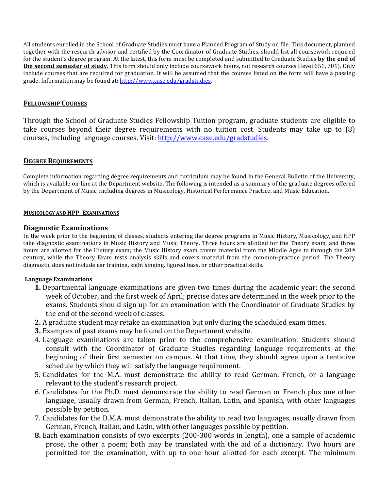All students enrolled in the School of Graduate Studies must have a Planned Program of Study on file. This document, planned together with the research advisor and certified by the Coordinator of Graduate Studies, should list all coursework required for the student's degree program. At the latest, this form must be completed and submitted to Graduate Studies **by the end of the second semester of study.** This form should only include coursework hours, not research courses (level 651, 701). Only include courses that are required for graduation. It will be assumed that the courses listed on the form will have a passing grade. Information may be found at: http://www.case.edu/gradstudies.

## **FELLOWSHIP COURSES**

Through the School of Graduate Studies Fellowship Tuition program, graduate students are eligible to take courses beyond their degree requirements with no tuition cost. Students may take up to  $(8)$ courses, including language courses. Visit: http://www.case.edu/gradstudies.

## **DEGREE REQUIREMENTS**

Complete information regarding degree requirements and curriculum may be found in the General Bulletin of the University, which is available on-line at the Department website. The following is intended as a summary of the graduate degrees offered by the Department of Music, including degrees in Musicology, Historical Performance Practice, and Music Education.

## **MUSICOLOGY AND HPP- EXAMINATIONS**

## **Diagnostic Examinations**

In the week prior to the beginning of classes, students entering the degree programs in Music History, Musicology, and HPP take diagnostic examinations in Music History and Music Theory. Three hours are allotted for the Theory exam, and three hours are allotted for the History exam; the Music History exam covers material from the Middle Ages to through the 20<sup>th</sup> century, while the Theory Exam tests analysis skills and covers material from the common-practice period. The Theory diagnostic does not include ear training, sight singing, figured bass, or other practical skills.

## **Language Examinations**

- **1.** Departmental language examinations are given two times during the academic year: the second week of October, and the first week of April; precise dates are determined in the week prior to the exams. Students should sign up for an examination with the Coordinator of Graduate Studies by the end of the second week of classes.
- **2.** A graduate student may retake an examination but only during the scheduled exam times.
- **3.** Examples of past exams may be found on the Department website.
- 4. Language examinations are taken prior to the comprehensive examination. Students should consult with the Coordinator of Graduate Studies regarding language requirements at the beginning of their first semester on campus. At that time, they should agree upon a tentative schedule by which they will satisfy the language requirement.
- 5. Candidates for the M.A. must demonstrate the ability to read German, French, or a language relevant to the student's research project.
- 6. Candidates for the Ph.D. must demonstrate the ability to read German or French plus one other language, usually drawn from German, French, Italian, Latin, and Spanish, with other languages possible by petition.
- 7. Candidates for the D.M.A. must demonstrate the ability to read two languages, usually drawn from German, French, Italian, and Latin, with other languages possible by petition.
- **8.** Each examination consists of two excerpts (200-300 words in length), one a sample of academic prose, the other a poem; both may be translated with the aid of a dictionary. Two hours are permitted for the examination, with up to one hour allotted for each excerpt. The minimum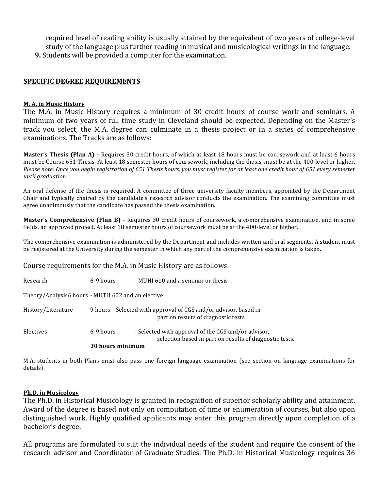required level of reading ability is usually attained by the equivalent of two years of college-level study of the language plus further reading in musical and musicological writings in the language. **9.** Students will be provided a computer for the examination.

## **SPECIFIC DEGREE REQUIREMENTS**

## **M. A. in Music History**

The M.A. in Music History requires a minimum of 30 credit hours of course work and seminars. A minimum of two years of full time study in Cleveland should be expected. Depending on the Master's track you select, the M.A. degree can culminate in a thesis project or in a series of comprehensive examinations. The Tracks are as follows:

**Master's Thesis (Plan A)** - Requires 30 credit hours, of which at least 18 hours must be coursework and at least 6 hours must be Course 651 Thesis. At least 18 semester hours of coursework, including the thesis, must be at the 400-level or higher. *Please note:* Once you begin registration of 651 Thesis hours, you must register for at least one credit hour of 651 every semester *until graduation.*

An oral defense of the thesis is required. A committee of three university faculty members, appointed by the Department Chair and typically chaired by the candidate's research advisor conducts the examination. The examining committee must agree unanimously that the candidate has passed the thesis examination.

**Master's Comprehensive (Plan B)** - Requires 30 credit hours of coursework, a comprehensive examination, and in some fields, an approved project. At least 18 semester hours of coursework must be at the 400-level or higher.

The comprehensive examination is administered by the Department and includes written and oral segments. A student must be registered at the University during the semester in which any part of the comprehensive examination is taken.

Course requirements for the M.A. in Music History are as follows:

|                                                   | 30 hours minimum |                                                                                                                |
|---------------------------------------------------|------------------|----------------------------------------------------------------------------------------------------------------|
| Electives                                         | 6-9 hours        | - Selected with approval of the CGS and/or advisor,<br>selection based in part on results of diagnostic tests. |
| History/Literature                                |                  | 9 hours - Selected with approval of CGS and/or advisor, based in<br>part on results of diagnostic tests        |
| Theory/Analysis6 hours - MUTH 602 and an elective |                  |                                                                                                                |
| Research                                          | 6-9 hours        | - MUHI 610 and a seminar or thesis                                                                             |

M.A. students in both Plans must also pass one foreign language examination (see section on language examinations for details). 

## **Ph.D.** in Musicology

The Ph.D. in Historical Musicology is granted in recognition of superior scholarly ability and attainment. Award of the degree is based not only on computation of time or enumeration of courses, but also upon distinguished work. Highly qualified applicants may enter this program directly upon completion of a bachelor's degree.

All programs are formulated to suit the individual needs of the student and require the consent of the research advisor and Coordinator of Graduate Studies. The Ph.D. in Historical Musicology requires 36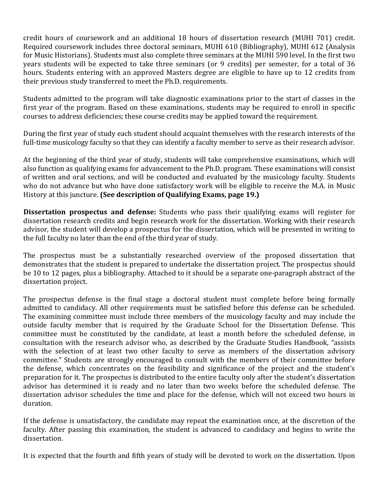credit hours of coursework and an additional 18 hours of dissertation research (MUHI 701) credit. Required coursework includes three doctoral seminars, MUHI 610 (Bibliography), MUHI 612 (Analysis for Music Historians). Students must also complete three seminars at the MUHI 590 level. In the first two years students will be expected to take three seminars (or 9 credits) per semester, for a total of 36 hours. Students entering with an approved Masters degree are eligible to have up to 12 credits from their previous study transferred to meet the Ph.D. requirements.

Students admitted to the program will take diagnostic examinations prior to the start of classes in the first year of the program. Based on these examinations, students may be required to enroll in specific courses to address deficiencies; these course credits may be applied toward the requirement.

During the first year of study each student should acquaint themselves with the research interests of the full-time musicology faculty so that they can identify a faculty member to serve as their research advisor.

At the beginning of the third year of study, students will take comprehensive examinations, which will also function as qualifying exams for advancement to the Ph.D. program. These examinations will consist of written and oral sections, and will be conducted and evaluated by the musicology faculty. Students who do not advance but who have done satisfactory work will be eligible to receive the M.A. in Music History at this juncture. **(See description of Qualifying Exams, page 19.)** 

**Dissertation prospectus and defense:** Students who pass their qualifying exams will register for dissertation research credits and begin research work for the dissertation. Working with their research advisor, the student will develop a prospectus for the dissertation, which will be presented in writing to the full faculty no later than the end of the third year of study.

The prospectus must be a substantially researched overview of the proposed dissertation that demonstrates that the student is prepared to undertake the dissertation project. The prospectus should be 10 to 12 pages, plus a bibliography. Attached to it should be a separate one-paragraph abstract of the dissertation project.

The prospectus defense is the final stage a doctoral student must complete before being formally admitted to candidacy. All other requirements must be satisfied before this defense can be scheduled. The examining committee must include three members of the musicology faculty and may include the outside faculty member that is required by the Graduate School for the Dissertation Defense. This committee must be constituted by the candidate, at least a month before the scheduled defense, in consultation with the research advisor who, as described by the Graduate Studies Handbook, "assists with the selection of at least two other faculty to serve as members of the dissertation advisory committee." Students are strongly encouraged to consult with the members of their committee before the defense, which concentrates on the feasibility and significance of the project and the student's preparation for it. The prospectus is distributed to the entire faculty only after the student's dissertation advisor has determined it is ready and no later than two weeks before the scheduled defense. The dissertation advisor schedules the time and place for the defense, which will not exceed two hours in duration.

If the defense is unsatisfactory, the candidate may repeat the examination once, at the discretion of the faculty. After passing this examination, the student is advanced to candidacy and begins to write the dissertation.

It is expected that the fourth and fifth years of study will be devoted to work on the dissertation. Upon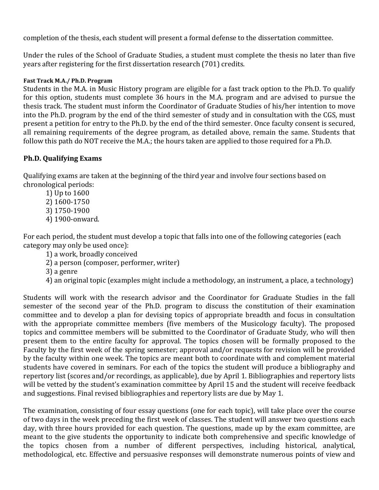completion of the thesis, each student will present a formal defense to the dissertation committee.

Under the rules of the School of Graduate Studies, a student must complete the thesis no later than five years after registering for the first dissertation research (701) credits.

## **Fast Track M.A./ Ph.D. Program**

Students in the M.A. in Music History program are eligible for a fast track option to the Ph.D. To qualify for this option, students must complete 36 hours in the M.A. program and are advised to pursue the thesis track. The student must inform the Coordinator of Graduate Studies of his/her intention to move into the Ph.D. program by the end of the third semester of study and in consultation with the CGS, must present a petition for entry to the Ph.D. by the end of the third semester. Once faculty consent is secured, all remaining requirements of the degree program, as detailed above, remain the same. Students that follow this path do NOT receive the M.A.; the hours taken are applied to those required for a Ph.D.

# **Ph.D. Qualifying Exams**

Qualifying exams are taken at the beginning of the third year and involve four sections based on chronological periods:

1) Up to 1600 2) 1600-1750 3) 1750-1900 4) 1900-onward.

For each period, the student must develop a topic that falls into one of the following categories (each category may only be used once):

- 1) a work, broadly conceived
- 2) a person (composer, performer, writer)
- 3) a genre
- 4) an original topic (examples might include a methodology, an instrument, a place, a technology)

Students will work with the research advisor and the Coordinator for Graduate Studies in the fall semester of the second year of the Ph.D. program to discuss the constitution of their examination committee and to develop a plan for devising topics of appropriate breadth and focus in consultation with the appropriate committee members (five members of the Musicology faculty). The proposed topics and committee members will be submitted to the Coordinator of Graduate Study, who will then present them to the entire faculty for approval. The topics chosen will be formally proposed to the Faculty by the first week of the spring semester; approval and/or requests for revision will be provided by the faculty within one week. The topics are meant both to coordinate with and complement material students have covered in seminars. For each of the topics the student will produce a bibliography and repertory list (scores and/or recordings, as applicable), due by April 1. Bibliographies and repertory lists will be vetted by the student's examination committee by April 15 and the student will receive feedback and suggestions. Final revised bibliographies and repertory lists are due by May 1.

The examination, consisting of four essay questions (one for each topic), will take place over the course of two days in the week preceding the first week of classes. The student will answer two questions each day, with three hours provided for each question. The questions, made up by the exam committee, are meant to the give students the opportunity to indicate both comprehensive and specific knowledge of the topics chosen from a number of different perspectives, including historical, analytical, methodological, etc. Effective and persuasive responses will demonstrate numerous points of view and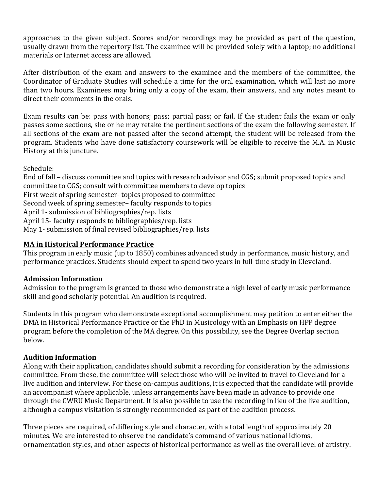approaches to the given subject. Scores and/or recordings may be provided as part of the question, usually drawn from the repertory list. The examinee will be provided solely with a laptop; no additional materials or Internet access are allowed.

After distribution of the exam and answers to the examinee and the members of the committee, the Coordinator of Graduate Studies will schedule a time for the oral examination, which will last no more than two hours. Examinees may bring only a copy of the exam, their answers, and any notes meant to direct their comments in the orals.

Exam results can be: pass with honors; pass; partial pass; or fail. If the student fails the exam or only passes some sections, she or he may retake the pertinent sections of the exam the following semester. If all sections of the exam are not passed after the second attempt, the student will be released from the program. Students who have done satisfactory coursework will be eligible to receive the M.A. in Music History at this juncture.

Schedule:

End of fall – discuss committee and topics with research advisor and CGS; submit proposed topics and committee to CGS; consult with committee members to develop topics First week of spring semester- topics proposed to committee Second week of spring semester– faculty responds to topics April 1- submission of bibliographies/rep. lists April 15- faculty responds to bibliographies/rep. lists May 1- submission of final revised bibliographies/rep. lists

# **MA** in Historical Performance Practice

This program in early music (up to 1850) combines advanced study in performance, music history, and performance practices. Students should expect to spend two years in full-time study in Cleveland.

# **Admission Information**

Admission to the program is granted to those who demonstrate a high level of early music performance skill and good scholarly potential. An audition is required.

Students in this program who demonstrate exceptional accomplishment may petition to enter either the DMA in Historical Performance Practice or the PhD in Musicology with an Emphasis on HPP degree program before the completion of the MA degree. On this possibility, see the Degree Overlap section below.

# **Audition Information**

Along with their application, candidates should submit a recording for consideration by the admissions committee. From these, the committee will select those who will be invited to travel to Cleveland for a live audition and interview. For these on-campus auditions, it is expected that the candidate will provide an accompanist where applicable, unless arrangements have been made in advance to provide one through the CWRU Music Department. It is also possible to use the recording in lieu of the live audition, although a campus visitation is strongly recommended as part of the audition process.

Three pieces are required, of differing style and character, with a total length of approximately 20 minutes. We are interested to observe the candidate's command of various national idioms, ornamentation styles, and other aspects of historical performance as well as the overall level of artistry.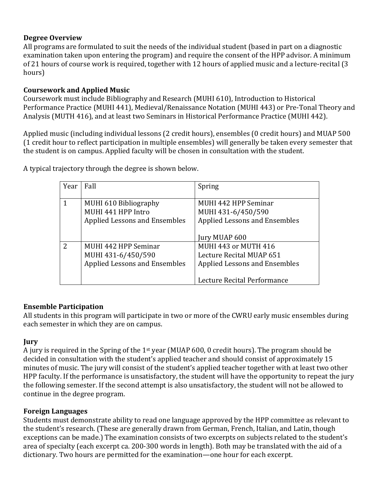# **Degree Overview**

All programs are formulated to suit the needs of the individual student (based in part on a diagnostic examination taken upon entering the program) and require the consent of the HPP advisor. A minimum of 21 hours of course work is required, together with 12 hours of applied music and a lecture-recital (3 hours) 

# **Coursework and Applied Music**

Coursework must include Bibliography and Research (MUHI 610), Introduction to Historical Performance Practice (MUHI 441), Medieval/Renaissance Notation (MUHI 443) or Pre-Tonal Theory and Analysis (MUTH 416), and at least two Seminars in Historical Performance Practice (MUHI 442).

Applied music (including individual lessons (2 credit hours), ensembles (0 credit hours) and MUAP 500 (1 credit hour to reflect participation in multiple ensembles) will generally be taken every semester that the student is on campus. Applied faculty will be chosen in consultation with the student.

| Year | Fall                          | Spring                        |
|------|-------------------------------|-------------------------------|
|      |                               |                               |
|      | MUHI 610 Bibliography         | MUHI 442 HPP Seminar          |
|      | MUHI 441 HPP Intro            | MUHI 431-6/450/590            |
|      | Applied Lessons and Ensembles | Applied Lessons and Ensembles |
|      |                               |                               |
|      |                               | Jury MUAP 600                 |
| 2    | MUHI 442 HPP Seminar          | MUHI 443 or MUTH 416          |
|      | MUHI 431-6/450/590            | Lecture Recital MUAP 651      |
|      | Applied Lessons and Ensembles | Applied Lessons and Ensembles |
|      |                               |                               |
|      |                               | Lecture Recital Performance   |

A typical trajectory through the degree is shown below.

# **Ensemble Participation**

All students in this program will participate in two or more of the CWRU early music ensembles during each semester in which they are on campus.

# **Jury**

A jury is required in the Spring of the 1<sup>st</sup> year (MUAP 600, 0 credit hours). The program should be decided in consultation with the student's applied teacher and should consist of approximately 15 minutes of music. The jury will consist of the student's applied teacher together with at least two other HPP faculty. If the performance is unsatisfactory, the student will have the opportunity to repeat the jury the following semester. If the second attempt is also unsatisfactory, the student will not be allowed to continue in the degree program.

# **Foreign Languages**

Students must demonstrate ability to read one language approved by the HPP committee as relevant to the student's research. (These are generally drawn from German, French, Italian, and Latin, though exceptions can be made.) The examination consists of two excerpts on subjects related to the student's area of specialty (each excerpt ca. 200-300 words in length). Both may be translated with the aid of a dictionary. Two hours are permitted for the examination—one hour for each excerpt.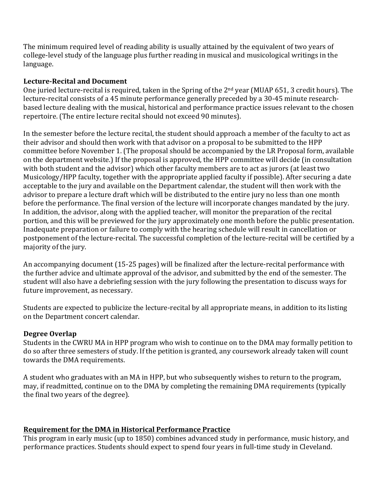The minimum required level of reading ability is usually attained by the equivalent of two years of college-level study of the language plus further reading in musical and musicological writings in the language.

# Lecture-Recital and Document

One juried lecture-recital is required, taken in the Spring of the  $2<sup>nd</sup>$  year (MUAP 651, 3 credit hours). The lecture-recital consists of a 45 minute performance generally preceded by a 30-45 minute researchbased lecture dealing with the musical, historical and performance practice issues relevant to the chosen repertoire. (The entire lecture recital should not exceed 90 minutes).

In the semester before the lecture recital, the student should approach a member of the faculty to act as their advisor and should then work with that advisor on a proposal to be submitted to the HPP committee before November 1. (The proposal should be accompanied by the LR Proposal form, available on the department website.) If the proposal is approved, the HPP committee will decide (in consultation with both student and the advisor) which other faculty members are to act as jurors (at least two Musicology/HPP faculty, together with the appropriate applied faculty if possible). After securing a date acceptable to the jury and available on the Department calendar, the student will then work with the advisor to prepare a lecture draft which will be distributed to the entire jury no less than one month before the performance. The final version of the lecture will incorporate changes mandated by the jury. In addition, the advisor, along with the applied teacher, will monitor the preparation of the recital portion, and this will be previewed for the jury approximately one month before the public presentation. Inadequate preparation or failure to comply with the hearing schedule will result in cancellation or postponement of the lecture-recital. The successful completion of the lecture-recital will be certified by a majority of the jury.

An accompanying document (15-25 pages) will be finalized after the lecture-recital performance with the further advice and ultimate approval of the advisor, and submitted by the end of the semester. The student will also have a debriefing session with the jury following the presentation to discuss ways for future improvement, as necessary.

Students are expected to publicize the lecture-recital by all appropriate means, in addition to its listing on the Department concert calendar.

# **Degree Overlap**

Students in the CWRU MA in HPP program who wish to continue on to the DMA may formally petition to do so after three semesters of study. If the petition is granted, any coursework already taken will count towards the DMA requirements.

A student who graduates with an MA in HPP, but who subsequently wishes to return to the program, may, if readmitted, continue on to the DMA by completing the remaining DMA requirements (typically the final two years of the degree).

# **Requirement for the DMA in Historical Performance Practice**

This program in early music (up to 1850) combines advanced study in performance, music history, and performance practices. Students should expect to spend four years in full-time study in Cleveland.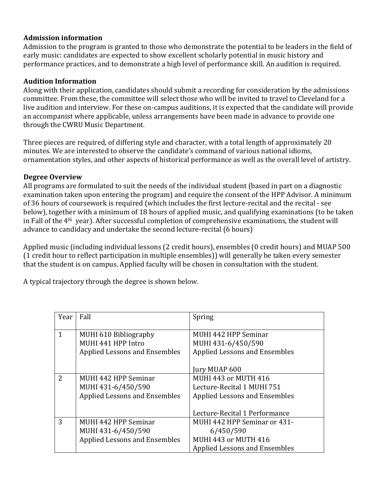# **Admission information**

Admission to the program is granted to those who demonstrate the potential to be leaders in the field of early music: candidates are expected to show excellent scholarly potential in music history and performance practices, and to demonstrate a high level of performance skill. An audition is required.

# **Audition Information**

Along with their application, candidates should submit a recording for consideration by the admissions committee. From these, the committee will select those who will be invited to travel to Cleveland for a live audition and interview. For these on-campus auditions, it is expected that the candidate will provide an accompanist where applicable, unless arrangements have been made in advance to provide one through the CWRU Music Department.

Three pieces are required, of differing style and character, with a total length of approximately 20 minutes. We are interested to observe the candidate's command of various national idioms, ornamentation styles, and other aspects of historical performance as well as the overall level of artistry.

# **Degree Overview**

All programs are formulated to suit the needs of the individual student (based in part on a diagnostic examination taken upon entering the program) and require the consent of the HPP Advisor. A minimum of 36 hours of coursework is required (which includes the first lecture-recital and the recital - see below), together with a minimum of 18 hours of applied music, and qualifying examinations (to be taken in Fall of the  $4<sup>th</sup>$  year). After successful completion of comprehensive examinations, the student will advance to candidacy and undertake the second lecture-recital (6 hours)

Applied music (including individual lessons (2 credit hours), ensembles (0 credit hours) and MUAP 500 (1 credit hour to reflect participation in multiple ensembles)) will generally be taken every semester that the student is on campus. Applied faculty will be chosen in consultation with the student.

A typical trajectory through the degree is shown below.

| Year          | Fall                                                                               | Spring                                                                                                    |  |
|---------------|------------------------------------------------------------------------------------|-----------------------------------------------------------------------------------------------------------|--|
| 1             | MUHI 610 Bibliography<br>MUHI 441 HPP Intro<br>Applied Lessons and Ensembles       | MUHI 442 HPP Seminar<br>MUHI 431-6/450/590<br><b>Applied Lessons and Ensembles</b>                        |  |
|               |                                                                                    | Jury MUAP 600                                                                                             |  |
| $\mathcal{P}$ | MUHI 442 HPP Seminar<br>MUHI 431-6/450/590<br><b>Applied Lessons and Ensembles</b> | MUHI 443 or MUTH 416<br>Lecture-Recital 1 MUHI 751<br><b>Applied Lessons and Ensembles</b>                |  |
|               |                                                                                    | Lecture-Recital 1 Performance                                                                             |  |
| 3             | MUHI 442 HPP Seminar<br>MUHI 431-6/450/590<br><b>Applied Lessons and Ensembles</b> | MUHI 442 HPP Seminar or 431-<br>6/450/590<br>MUHI 443 or MUTH 416<br><b>Applied Lessons and Ensembles</b> |  |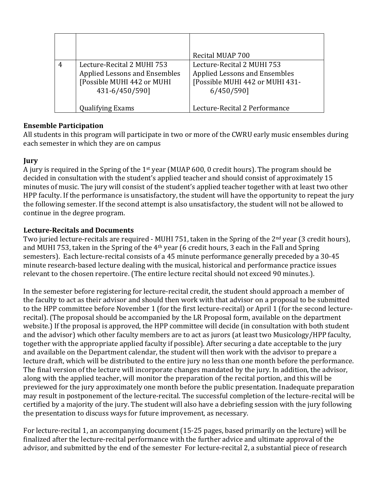|   |                                                                                                                    | Recital MUAP 700                                                                                                    |
|---|--------------------------------------------------------------------------------------------------------------------|---------------------------------------------------------------------------------------------------------------------|
| 4 | Lecture-Recital 2 MUHI 753<br><b>Applied Lessons and Ensembles</b><br>[Possible MUHI 442 or MUHI<br>431-6/450/590] | Lecture-Recital 2 MUHI 753<br><b>Applied Lessons and Ensembles</b><br>[Possible MUHI 442 or MUHI 431-<br>6/450/590] |
|   | <b>Qualifying Exams</b>                                                                                            | Lecture-Recital 2 Performance                                                                                       |

# **Ensemble Participation**

All students in this program will participate in two or more of the CWRU early music ensembles during each semester in which they are on campus

# **Jury**

A jury is required in the Spring of the  $1<sup>st</sup>$  year (MUAP 600, 0 credit hours). The program should be decided in consultation with the student's applied teacher and should consist of approximately 15 minutes of music. The jury will consist of the student's applied teacher together with at least two other HPP faculty. If the performance is unsatisfactory, the student will have the opportunity to repeat the jury the following semester. If the second attempt is also unsatisfactory, the student will not be allowed to continue in the degree program.

# Lecture-Recitals and Documents

Two juried lecture-recitals are required - MUHI 751, taken in the Spring of the  $2<sup>nd</sup>$  year (3 credit hours), and MUHI 753, taken in the Spring of the  $4<sup>th</sup>$  year (6 credit hours, 3 each in the Fall and Spring semesters). Each lecture-recital consists of a 45 minute performance generally preceded by a 30-45 minute research-based lecture dealing with the musical, historical and performance practice issues relevant to the chosen repertoire. (The entire lecture recital should not exceed 90 minutes.).

In the semester before registering for lecture-recital credit, the student should approach a member of the faculty to act as their advisor and should then work with that advisor on a proposal to be submitted to the HPP committee before November 1 (for the first lecture-recital) or April 1 (for the second lecturerecital). (The proposal should be accompanied by the LR Proposal form, available on the department website.) If the proposal is approved, the HPP committee will decide (in consultation with both student and the advisor) which other faculty members are to act as jurors (at least two Musicology/HPP faculty, together with the appropriate applied faculty if possible). After securing a date acceptable to the jury and available on the Department calendar, the student will then work with the advisor to prepare a lecture draft, which will be distributed to the entire jury no less than one month before the performance. The final version of the lecture will incorporate changes mandated by the jury. In addition, the advisor, along with the applied teacher, will monitor the preparation of the recital portion, and this will be previewed for the jury approximately one month before the public presentation. Inadequate preparation may result in postponement of the lecture-recital. The successful completion of the lecture-recital will be certified by a majority of the jury. The student will also have a debriefing session with the jury following the presentation to discuss ways for future improvement, as necessary.

For lecture-recital 1, an accompanying document (15-25 pages, based primarily on the lecture) will be finalized after the lecture-recital performance with the further advice and ultimate approval of the advisor, and submitted by the end of the semester For lecture-recital 2, a substantial piece of research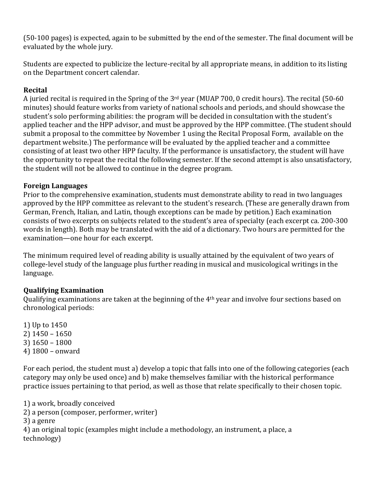(50-100 pages) is expected, again to be submitted by the end of the semester. The final document will be evaluated by the whole jury.

Students are expected to publicize the lecture-recital by all appropriate means, in addition to its listing on the Department concert calendar.

# **Recital**

A juried recital is required in the Spring of the  $3<sup>rd</sup>$  year (MUAP 700, 0 credit hours). The recital (50-60 minutes) should feature works from variety of national schools and periods, and should showcase the student's solo performing abilities: the program will be decided in consultation with the student's applied teacher and the HPP advisor, and must be approved by the HPP committee. (The student should submit a proposal to the committee by November 1 using the Recital Proposal Form, available on the department website.) The performance will be evaluated by the applied teacher and a committee consisting of at least two other HPP faculty. If the performance is unsatisfactory, the student will have the opportunity to repeat the recital the following semester. If the second attempt is also unsatisfactory, the student will not be allowed to continue in the degree program.

# **Foreign Languages**

Prior to the comprehensive examination, students must demonstrate ability to read in two languages approved by the HPP committee as relevant to the student's research. (These are generally drawn from German, French, Italian, and Latin, though exceptions can be made by petition.) Each examination consists of two excerpts on subjects related to the student's area of specialty (each excerpt ca. 200-300 words in length). Both may be translated with the aid of a dictionary. Two hours are permitted for the examination—one hour for each excerpt.

The minimum required level of reading ability is usually attained by the equivalent of two years of college-level study of the language plus further reading in musical and musicological writings in the language.

# **Qualifying Examination**

Qualifying examinations are taken at the beginning of the 4<sup>th</sup> year and involve four sections based on chronological periods:

1) Up to 1450 2) 1450 – 1650 3) 1650 – 1800 4) 1800 – onward 

For each period, the student must a) develop a topic that falls into one of the following categories (each category may only be used once) and b) make themselves familiar with the historical performance practice issues pertaining to that period, as well as those that relate specifically to their chosen topic.

1) a work, broadly conceived 2) a person (composer, performer, writer) 3) a genre 4) an original topic (examples might include a methodology, an instrument, a place, a technology)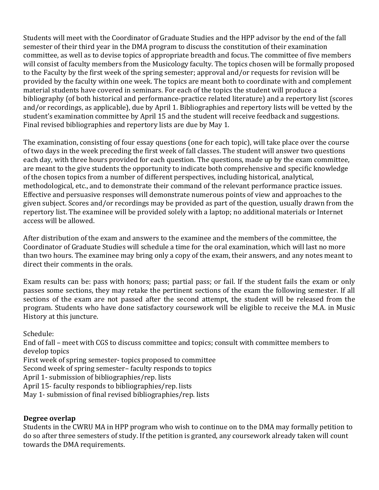Students will meet with the Coordinator of Graduate Studies and the HPP advisor by the end of the fall semester of their third year in the DMA program to discuss the constitution of their examination committee, as well as to devise topics of appropriate breadth and focus. The committee of five members will consist of faculty members from the Musicology faculty. The topics chosen will be formally proposed to the Faculty by the first week of the spring semester; approval and/or requests for revision will be provided by the faculty within one week. The topics are meant both to coordinate with and complement material students have covered in seminars. For each of the topics the student will produce a bibliography (of both historical and performance-practice related literature) and a repertory list (scores and/or recordings, as applicable), due by April 1. Bibliographies and repertory lists will be vetted by the student's examination committee by April 15 and the student will receive feedback and suggestions. Final revised bibliographies and repertory lists are due by May 1.

The examination, consisting of four essay questions (one for each topic), will take place over the course of two days in the week preceding the first week of fall classes. The student will answer two questions each day, with three hours provided for each question. The questions, made up by the exam committee, are meant to the give students the opportunity to indicate both comprehensive and specific knowledge of the chosen topics from a number of different perspectives, including historical, analytical, methodological, etc., and to demonstrate their command of the relevant performance practice issues. Effective and persuasive responses will demonstrate numerous points of view and approaches to the given subject. Scores and/or recordings may be provided as part of the question, usually drawn from the repertory list. The examinee will be provided solely with a laptop; no additional materials or Internet access will be allowed.

After distribution of the exam and answers to the examinee and the members of the committee, the Coordinator of Graduate Studies will schedule a time for the oral examination, which will last no more than two hours. The examinee may bring only a copy of the exam, their answers, and any notes meant to direct their comments in the orals.

Exam results can be: pass with honors; pass; partial pass; or fail. If the student fails the exam or only passes some sections, they may retake the pertinent sections of the exam the following semester. If all sections of the exam are not passed after the second attempt, the student will be released from the program. Students who have done satisfactory coursework will be eligible to receive the M.A. in Music History at this juncture.

Schedule:

End of fall – meet with CGS to discuss committee and topics; consult with committee members to develop topics

First week of spring semester- topics proposed to committee

Second week of spring semester-faculty responds to topics

April 1- submission of bibliographies/rep. lists

April 15- faculty responds to bibliographies/rep. lists

May 1- submission of final revised bibliographies/rep. lists

# **Degree overlap**

Students in the CWRU MA in HPP program who wish to continue on to the DMA may formally petition to do so after three semesters of study. If the petition is granted, any coursework already taken will count towards the DMA requirements.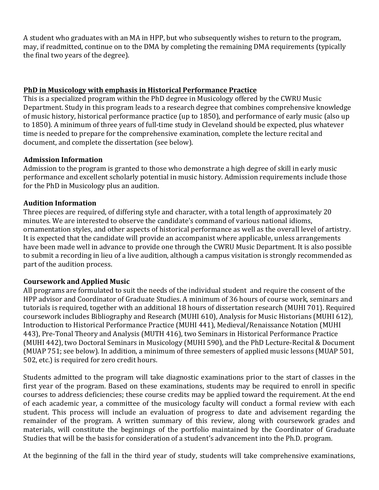A student who graduates with an MA in HPP, but who subsequently wishes to return to the program, may, if readmitted, continue on to the DMA by completing the remaining DMA requirements (typically the final two years of the degree).

# **PhD** in Musicology with emphasis in Historical Performance Practice

This is a specialized program within the PhD degree in Musicology offered by the CWRU Music Department. Study in this program leads to a research degree that combines comprehensive knowledge of music history, historical performance practice (up to 1850), and performance of early music (also up to 1850). A minimum of three years of full-time study in Cleveland should be expected, plus whatever time is needed to prepare for the comprehensive examination, complete the lecture recital and document, and complete the dissertation (see below).

# **Admission Information**

Admission to the program is granted to those who demonstrate a high degree of skill in early music performance and excellent scholarly potential in music history. Admission requirements include those for the PhD in Musicology plus an audition.

# **Audition Information**

Three pieces are required, of differing style and character, with a total length of approximately 20 minutes. We are interested to observe the candidate's command of various national idioms, ornamentation styles, and other aspects of historical performance as well as the overall level of artistry. It is expected that the candidate will provide an accompanist where applicable, unless arrangements have been made well in advance to provide one through the CWRU Music Department. It is also possible to submit a recording in lieu of a live audition, although a campus visitation is strongly recommended as part of the audition process.

# **Coursework and Applied Music**

All programs are formulated to suit the needs of the individual student and require the consent of the HPP advisor and Coordinator of Graduate Studies. A minimum of 36 hours of course work, seminars and tutorials is required, together with an additional 18 hours of dissertation research (MUHI 701). Required coursework includes Bibliography and Research (MUHI 610), Analysis for Music Historians (MUHI 612), Introduction to Historical Performance Practice (MUHI 441), Medieval/Renaissance Notation (MUHI 443), Pre-Tonal Theory and Analysis (MUTH 416), two Seminars in Historical Performance Practice (MUHI 442), two Doctoral Seminars in Musicology (MUHI 590), and the PhD Lecture-Recital & Document (MUAP 751; see below). In addition, a minimum of three semesters of applied music lessons (MUAP 501, 502, etc.) is required for zero credit hours.

Students admitted to the program will take diagnostic examinations prior to the start of classes in the first year of the program. Based on these examinations, students may be required to enroll in specific courses to address deficiencies; these course credits may be applied toward the requirement. At the end of each academic year, a committee of the musicology faculty will conduct a formal review with each student. This process will include an evaluation of progress to date and advisement regarding the remainder of the program. A written summary of this review, along with coursework grades and materials, will constitute the beginnings of the portfolio maintained by the Coordinator of Graduate Studies that will be the basis for consideration of a student's advancement into the Ph.D. program.

At the beginning of the fall in the third year of study, students will take comprehensive examinations,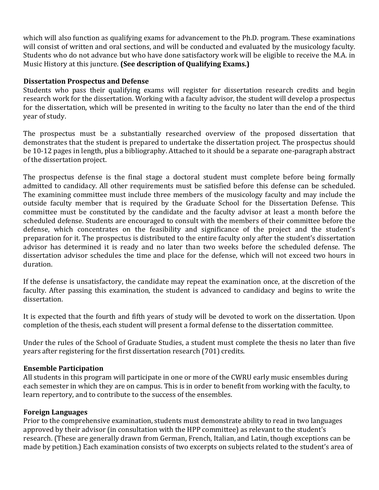which will also function as qualifying exams for advancement to the Ph.D. program. These examinations will consist of written and oral sections, and will be conducted and evaluated by the musicology faculty. Students who do not advance but who have done satisfactory work will be eligible to receive the M.A. in Music History at this juncture. **(See description of Qualifying Exams.)** 

# **Dissertation Prospectus and Defense**

Students who pass their qualifying exams will register for dissertation research credits and begin research work for the dissertation. Working with a faculty advisor, the student will develop a prospectus for the dissertation, which will be presented in writing to the faculty no later than the end of the third year of study.

The prospectus must be a substantially researched overview of the proposed dissertation that demonstrates that the student is prepared to undertake the dissertation project. The prospectus should be 10-12 pages in length, plus a bibliography. Attached to it should be a separate one-paragraph abstract of the dissertation project.

The prospectus defense is the final stage a doctoral student must complete before being formally admitted to candidacy. All other requirements must be satisfied before this defense can be scheduled. The examining committee must include three members of the musicology faculty and may include the outside faculty member that is required by the Graduate School for the Dissertation Defense. This committee must be constituted by the candidate and the faculty advisor at least a month before the scheduled defense. Students are encouraged to consult with the members of their committee before the defense, which concentrates on the feasibility and significance of the project and the student's preparation for it. The prospectus is distributed to the entire faculty only after the student's dissertation advisor has determined it is ready and no later than two weeks before the scheduled defense. The dissertation advisor schedules the time and place for the defense, which will not exceed two hours in duration.

If the defense is unsatisfactory, the candidate may repeat the examination once, at the discretion of the faculty. After passing this examination, the student is advanced to candidacy and begins to write the dissertation.

It is expected that the fourth and fifth years of study will be devoted to work on the dissertation. Upon completion of the thesis, each student will present a formal defense to the dissertation committee.

Under the rules of the School of Graduate Studies, a student must complete the thesis no later than five years after registering for the first dissertation research (701) credits.

# **Ensemble Participation**

All students in this program will participate in one or more of the CWRU early music ensembles during each semester in which they are on campus. This is in order to benefit from working with the faculty, to learn repertory, and to contribute to the success of the ensembles.

# **Foreign Languages**

Prior to the comprehensive examination, students must demonstrate ability to read in two languages approved by their advisor (in consultation with the HPP committee) as relevant to the student's research. (These are generally drawn from German, French, Italian, and Latin, though exceptions can be made by petition.) Each examination consists of two excerpts on subjects related to the student's area of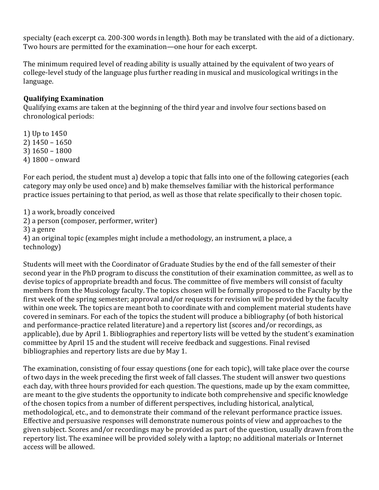specialty (each excerpt ca. 200-300 words in length). Both may be translated with the aid of a dictionary. Two hours are permitted for the examination—one hour for each excerpt.

The minimum required level of reading ability is usually attained by the equivalent of two years of college-level study of the language plus further reading in musical and musicological writings in the language.

# **Qualifying Examination**

Qualifying exams are taken at the beginning of the third year and involve four sections based on chronological periods:

1) Up to 1450 2) 1450 – 1650 3) 1650 – 1800 4) 1800 – onward 

For each period, the student must a) develop a topic that falls into one of the following categories (each category may only be used once) and b) make themselves familiar with the historical performance practice issues pertaining to that period, as well as those that relate specifically to their chosen topic.

1) a work, broadly conceived

2) a person (composer, performer, writer)

3) a genre

4) an original topic (examples might include a methodology, an instrument, a place, a technology)

Students will meet with the Coordinator of Graduate Studies by the end of the fall semester of their second year in the PhD program to discuss the constitution of their examination committee, as well as to devise topics of appropriate breadth and focus. The committee of five members will consist of faculty members from the Musicology faculty. The topics chosen will be formally proposed to the Faculty by the first week of the spring semester; approval and/or requests for revision will be provided by the faculty within one week. The topics are meant both to coordinate with and complement material students have covered in seminars. For each of the topics the student will produce a bibliography (of both historical and performance-practice related literature) and a repertory list (scores and/or recordings, as applicable), due by April 1. Bibliographies and repertory lists will be vetted by the student's examination committee by April 15 and the student will receive feedback and suggestions. Final revised bibliographies and repertory lists are due by May 1.

The examination, consisting of four essay questions (one for each topic), will take place over the course of two days in the week preceding the first week of fall classes. The student will answer two questions each day, with three hours provided for each question. The questions, made up by the exam committee, are meant to the give students the opportunity to indicate both comprehensive and specific knowledge of the chosen topics from a number of different perspectives, including historical, analytical, methodological, etc., and to demonstrate their command of the relevant performance practice issues. Effective and persuasive responses will demonstrate numerous points of view and approaches to the given subject. Scores and/or recordings may be provided as part of the question, usually drawn from the repertory list. The examinee will be provided solely with a laptop; no additional materials or Internet access will be allowed.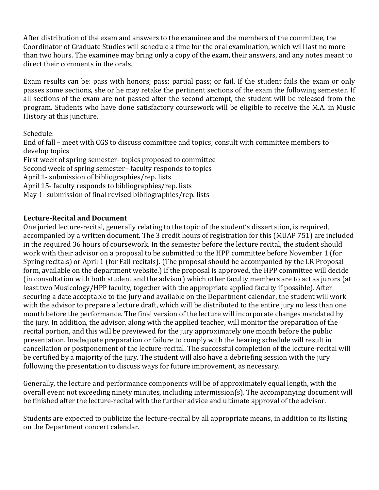After distribution of the exam and answers to the examinee and the members of the committee, the Coordinator of Graduate Studies will schedule a time for the oral examination, which will last no more than two hours. The examinee may bring only a copy of the exam, their answers, and any notes meant to direct their comments in the orals.

Exam results can be: pass with honors; pass; partial pass; or fail. If the student fails the exam or only passes some sections, she or he may retake the pertinent sections of the exam the following semester. If all sections of the exam are not passed after the second attempt, the student will be released from the program. Students who have done satisfactory coursework will be eligible to receive the M.A. in Music History at this juncture.

# Schedule:

End of fall – meet with CGS to discuss committee and topics; consult with committee members to develop topics First week of spring semester- topics proposed to committee Second week of spring semester- faculty responds to topics April 1- submission of bibliographies/rep. lists April 15- faculty responds to bibliographies/rep. lists May 1- submission of final revised bibliographies/rep. lists

# Lecture-Recital and Document

One juried lecture-recital, generally relating to the topic of the student's dissertation, is required, accompanied by a written document. The 3 credit hours of registration for this (MUAP 751) are included in the required 36 hours of coursework. In the semester before the lecture recital, the student should work with their advisor on a proposal to be submitted to the HPP committee before November 1 (for Spring recitals) or April 1 (for Fall recitals). (The proposal should be accompanied by the LR Proposal form, available on the department website.) If the proposal is approved, the HPP committee will decide (in consultation with both student and the advisor) which other faculty members are to act as jurors (at least two Musicology/HPP faculty, together with the appropriate applied faculty if possible). After securing a date acceptable to the jury and available on the Department calendar, the student will work with the advisor to prepare a lecture draft, which will be distributed to the entire jury no less than one month before the performance. The final version of the lecture will incorporate changes mandated by the jury. In addition, the advisor, along with the applied teacher, will monitor the preparation of the recital portion, and this will be previewed for the jury approximately one month before the public presentation. Inadequate preparation or failure to comply with the hearing schedule will result in cancellation or postponement of the lecture-recital. The successful completion of the lecture-recital will be certified by a majority of the jury. The student will also have a debriefing session with the jury following the presentation to discuss ways for future improvement, as necessary.

Generally, the lecture and performance components will be of approximately equal length, with the overall event not exceeding ninety minutes, including intermission(s). The accompanying document will be finished after the lecture-recital with the further advice and ultimate approval of the advisor.

Students are expected to publicize the lecture-recital by all appropriate means, in addition to its listing on the Department concert calendar.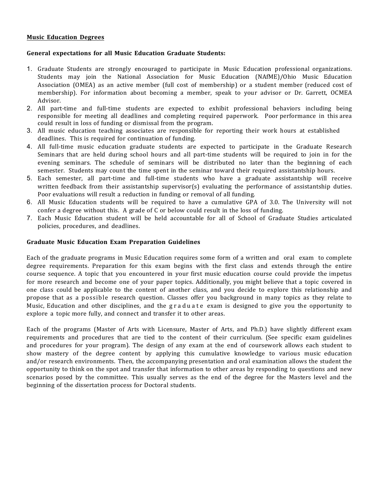## **Music Education Degrees**

## **General expectations for all Music Education Graduate Students:**

- 1. Graduate Students are strongly encouraged to participate in Music Education professional organizations. Students may join the National Association for Music Education (NAfME)/Ohio Music Education Association (OMEA) as an active member (full cost of membership) or a student member (reduced cost of membership). For information about becoming a member, speak to your advisor or Dr. Garrett, OCMEA Advisor.
- 2. All part-time and full-time students are expected to exhibit professional behaviors including being responsible for meeting all deadlines and completing required paperwork. Poor performance in this area could result in loss of funding or dismissal from the program.
- 3. All music education teaching associates are responsible for reporting their work hours at established deadlines. This is required for continuation of funding.
- 4. All full-time music education graduate students are expected to participate in the Graduate Research Seminars that are held during school hours and all part-time students will be required to join in for the evening seminars. The schedule of seminars will be distributed no later than the beginning of each semester. Students may count the time spent in the seminar toward their required assistantship hours.
- 5. Each semester, all part-time and full-time students who have a graduate assistantship will receive written feedback from their assistantship supervisor(s) evaluating the performance of assistantship duties. Poor evaluations will result a reduction in funding or removal of all funding.
- 6. All Music Education students will be required to have a cumulative GPA of 3.0. The University will not confer a degree without this. A grade of C or below could result in the loss of funding.
- 7. Each Music Education student will be held accountable for all of School of Graduate Studies articulated policies, procedures, and deadlines.

## **Graduate Music Education Exam Preparation Guidelines**

Each of the graduate programs in Music Education requires some form of a written and oral exam to complete degree requirements. Preparation for this exam begins with the first class and extends through the entire course sequence. A topic that you encountered in your first music education course could provide the impetus for more research and become one of your paper topics. Additionally, you might believe that a topic covered in one class could be applicable to the content of another class, and you decide to explore this relationship and propose that as a possible research question. Classes offer you background in many topics as they relate to Music, Education and other disciplines, and the graduate exam is designed to give you the opportunity to explore a topic more fully, and connect and transfer it to other areas.

Each of the programs (Master of Arts with Licensure, Master of Arts, and Ph.D.) have slightly different exam requirements and procedures that are tied to the content of their curriculum. (See specific exam guidelines and procedures for your program). The design of any exam at the end of coursework allows each student to show mastery of the degree content by applying this cumulative knowledge to various music education and/or research environments. Then, the accompanying presentation and oral examination allows the student the opportunity to think on the spot and transfer that information to other areas by responding to questions and new scenarios posed by the committee. This usually serves as the end of the degree for the Masters level and the beginning of the dissertation process for Doctoral students.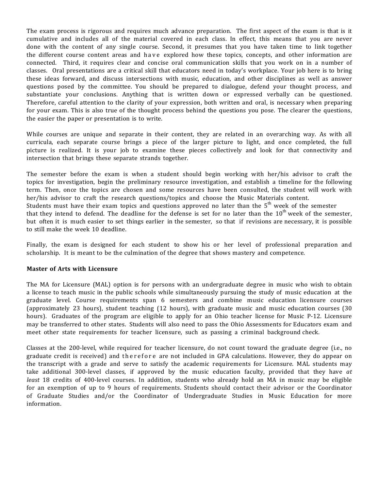The exam process is rigorous and requires much advance preparation. The first aspect of the exam is that is it cumulative and includes all of the material covered in each class. In effect, this means that you are never done with the content of any single course. Second, it presumes that you have taken time to link together the different course content areas and have explored how these topics, concepts, and other information are connected. Third, it requires clear and concise oral communication skills that you work on in a number of classes. Oral presentations are a critical skill that educators need in today's workplace. Your job here is to bring these ideas forward, and discuss intersections with music, education, and other disciplines as well as answer questions posed by the committee. You should be prepared to dialogue, defend your thought process, and substantiate your conclusions. Anything that is written down or expressed verbally can be questioned. Therefore, careful attention to the clarity of your expression, both written and oral, is necessary when preparing for your exam. This is also true of the thought process behind the questions you pose. The clearer the questions, the easier the paper or presentation is to write.

While courses are unique and separate in their content, they are related in an overarching way. As with all curricula, each separate course brings a piece of the larger picture to light, and once completed, the full picture is realized. It is your job to examine these pieces collectively and look for that connectivity and intersection that brings these separate strands together.

The semester before the exam is when a student should begin working with her/his advisor to craft the topics for investigation, begin the preliminary resource investigation, and establish a timeline for the following term. Then, once the topics are chosen and some resources have been consulted, the student will work with her/his advisor to craft the research questions/topics and choose the Music Materials content. Students must have their exam topics and questions approved no later than the  $5<sup>th</sup>$  week of the semester that they intend to defend. The deadline for the defense is set for no later than the  $10^{\text{th}}$  week of the semester, but often it is much easier to set things earlier in the semester, so that if revisions are necessary, it is possible to still make the week 10 deadline.

Finally, the exam is designed for each student to show his or her level of professional preparation and scholarship. It is meant to be the culmination of the degree that shows mastery and competence.

## **Master of Arts with Licensure**

The MA for Licensure (MAL) option is for persons with an undergraduate degree in music who wish to obtain a license to teach music in the public schools while simultaneously pursuing the study of music education at the graduate level. Course requirements span 6 semesters and combine music education licensure courses (approximately 23 hours), student teaching (12 hours), with graduate music and music education courses (30 hours). Graduates of the program are eligible to apply for an Ohio teacher license for Music P-12. Licensure may be transferred to other states. Students will also need to pass the Ohio Assessments for Educators exam and meet other state requirements for teacher licensure, such as passing a criminal background check.

Classes at the 200-level, while required for teacher licensure, do not count toward the graduate degree (i.e., no graduate credit is received) and therefore are not included in GPA calculations. However, they do appear on the transcript with a grade and serve to satisfy the academic requirements for Licensure. MAL students may take additional 300-level classes, if approved by the music education faculty, provided that they have *at least* 18 credits of 400-level courses. In addition, students who already hold an MA in music may be eligible for an exemption of up to 9 hours of requirements. Students should contact their advisor or the Coordinator of Graduate Studies and/or the Coordinator of Undergraduate Studies in Music Education for more information.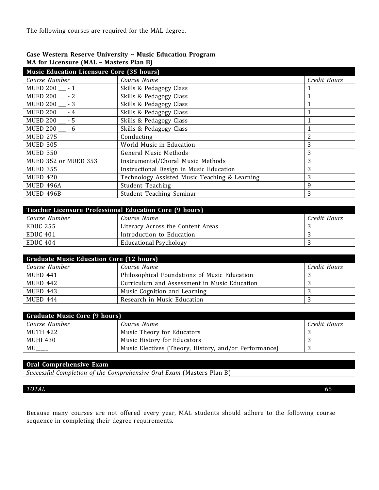The following courses are required for the MAL degree.

| <b>Music Education Licensure Core (35 hours)</b><br>Course Number | Course Name                                             | Credit Hours   |
|-------------------------------------------------------------------|---------------------------------------------------------|----------------|
| <b>MUED 200</b><br>$-1$                                           | Skills & Pedagogy Class                                 | 1              |
| MUED 200 __ - 2                                                   | Skills & Pedagogy Class                                 | 1              |
| $-3$<br><b>MUED 200_</b>                                          | Skills & Pedagogy Class                                 | 1              |
| <b>MUED 200</b><br>$-4$                                           | Skills & Pedagogy Class                                 | $\mathbf{1}$   |
| $-5$<br><b>MUED 200</b>                                           | Skills & Pedagogy Class                                 | $\mathbf{1}$   |
| <b>MUED 200</b><br>- 6                                            | Skills & Pedagogy Class                                 | $\mathbf{1}$   |
| <b>MUED 275</b>                                                   | Conducting                                              | $\overline{2}$ |
| <b>MUED 305</b>                                                   | World Music in Education                                | 3              |
| <b>MUED 350</b>                                                   | <b>General Music Methods</b>                            | 3              |
| MUED 352 or MUED 353                                              | Instrumental/Choral Music Methods                       | 3              |
| <b>MUED 355</b>                                                   | Instructional Design in Music Education                 | 3              |
| <b>MUED 420</b>                                                   | Technology Assisted Music Teaching & Learning           | 3              |
| MUED 496A                                                         | <b>Student Teaching</b>                                 | 9              |
| MUED 496B                                                         | Student Teaching Seminar                                | 3              |
|                                                                   |                                                         |                |
|                                                                   | Teacher Licensure Professional Education Core (9 hours) |                |
| Course Number                                                     | Course Name                                             | Credit Hours   |
| <b>EDUC 255</b>                                                   | Literacy Across the Content Areas                       | 3              |
| <b>EDUC 401</b>                                                   | Introduction to Education                               | 3              |
| <b>EDUC 404</b>                                                   | <b>Educational Psychology</b>                           | 3              |
|                                                                   |                                                         |                |
| <b>Graduate Music Education Core (12 hours)</b>                   |                                                         |                |
| Course Number                                                     | Course Name                                             | Credit Hours   |
| <b>MUED 441</b>                                                   | Philosophical Foundations of Music Education            | 3              |
| <b>MUED 442</b>                                                   | Curriculum and Assessment in Music Education            | 3              |
| <b>MUED 443</b>                                                   | Music Cognition and Learning                            | 3              |
| <b>MUED 444</b>                                                   | Research in Music Education                             | 3              |
|                                                                   |                                                         |                |
| <b>Graduate Music Core (9 hours)</b>                              |                                                         |                |
| Course Number                                                     | Course Name                                             | Credit Hours   |
| <b>MUTH 422</b>                                                   | Music Theory for Educators                              | 3              |
|                                                                   | Music History for Educators                             | 3              |
|                                                                   |                                                         |                |
| <b>MUHI 430</b><br>MU                                             | Music Electives (Theory, History, and/or Performance)   | 3              |

Because many courses are not offered every year, MAL students should adhere to the following course sequence in completing their degree requirements.

*TOTAL* 65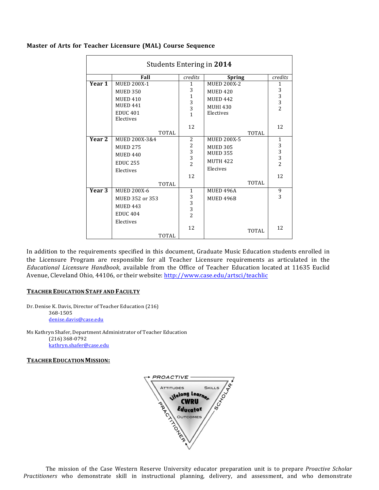|                   | Students Entering in 2014                                                                                   |                                                                    |                                                                                                  |                                                                  |
|-------------------|-------------------------------------------------------------------------------------------------------------|--------------------------------------------------------------------|--------------------------------------------------------------------------------------------------|------------------------------------------------------------------|
|                   | Fall                                                                                                        | credits                                                            | <b>Spring</b>                                                                                    | credits                                                          |
| Year 1            | <b>MUED 200X-1</b><br><b>MUED 350</b><br><b>MUED 410</b><br><b>MUED 441</b><br><b>EDUC 401</b><br>Electives | $\mathbf{1}$<br>3<br>$\mathbf{1}$<br>$\frac{3}{3}$<br>$\mathbf{1}$ | <b>MUED 200X-2</b><br><b>MUED 420</b><br><b>MUED 442</b><br><b>MUHI 430</b><br>Electives         | $\mathbf{1}$<br>$\begin{array}{c} 3 \\ 3 \\ 2 \end{array}$       |
|                   | <b>TOTAL</b>                                                                                                | 12                                                                 | TOTAL                                                                                            | 12                                                               |
| Year <sub>2</sub> | MUED 200X-3&4<br><b>MUED 275</b><br><b>MUED 440</b><br><b>EDUC 255</b><br>Electives<br><b>TOTAL</b>         | 2<br>$\begin{array}{c} 2 \\ 3 \\ 3 \\ 2 \end{array}$<br>12         | <b>MUED 200X-5</b><br><b>MUED 305</b><br><b>MUED 355</b><br><b>MUTH 422</b><br>Elecives<br>TOTAL | $\mathbf{1}$<br>$\begin{array}{c} 3 \\ 3 \\ 2 \end{array}$<br>12 |
| Year 3            | <b>MUED 200X-6</b><br>MUED 352 or 353<br><b>MUED 443</b><br><b>EDUC 404</b><br>Electives<br>TOTAL           | 1<br>$\begin{array}{c} 3 \\ 3 \\ 2 \end{array}$<br>12              | MUED 496A<br>MUED 496B<br>TOTAL                                                                  | 9<br>3<br>12                                                     |

## **Master of Arts for Teacher Licensure (MAL) Course Sequence**

In addition to the requirements specified in this document, Graduate Music Education students enrolled in the Licensure Program are responsible for all Teacher Licensure requirements as articulated in the *Educational Licensure Handbook*, available from the Office of Teacher Education located at 11635 Euclid Avenue, Cleveland Ohio, 44106, or their website: http://www.case.edu/artsci/teachlic

### **TEACHER EDUCATION STAFF AND FACULTY**

Dr. Denise K. Davis, Director of Teacher Education (216) 368-1505 denise.davis@case.edu

Ms Kathryn Shafer, Department Administrator of Teacher Education (216) 368-0792 kathryn.shafer@case.edu

### **TEACHER EDUCATION MISSION:**



The mission of the Case Western Reserve University educator preparation unit is to prepare *Proactive Scholar Practitioners* who demonstrate skill in instructional planning, delivery, and assessment, and who demonstrate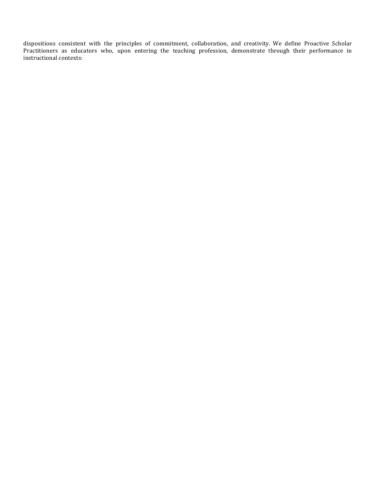dispositions consistent with the principles of commitment, collaboration, and creativity. We define Proactive Scholar Practitioners as educators who, upon entering the teaching profession, demonstrate through their performance in instructional contexts: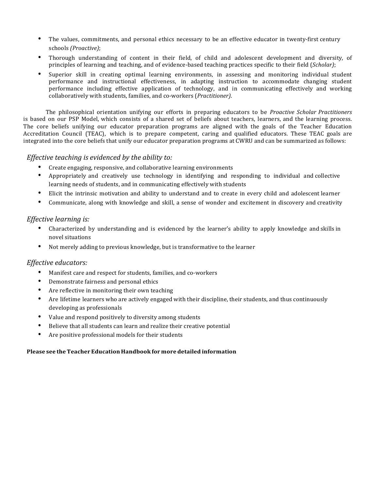- The values, commitments, and personal ethics necessary to be an effective educator in twenty-first century schools *(Proactive)*;
- Thorough understanding of content in their field, of child and adolescent development and diversity, of principles of learning and teaching, and of evidence-based teaching practices specific to their field (*Scholar*);
- Superior skill in creating optimal learning environments, in assessing and monitoring individual student performance and instructional effectiveness, in adapting instruction to accommodate changing student performance including effective application of technology, and in communicating effectively and working collaboratively with students, families, and co-workers (*Practitioner*).

The philosophical orientation unifying our efforts in preparing educators to be *Proactive Scholar Practitioners* is based on our PSP Model, which consists of a shared set of beliefs about teachers, learners, and the learning process. The core beliefs unifying our educator preparation programs are aligned with the goals of the Teacher Education Accreditation Council (TEAC), which is to prepare competent, caring and qualified educators. These TEAC goals are integrated into the core beliefs that unify our educator preparation programs at CWRU and can be summarized as follows:

## *Effective teaching is evidenced by the ability to:*

- Create engaging, responsive, and collaborative learning environments
- Appropriately and creatively use technology in identifying and responding to individual and collective learning needs of students, and in communicating effectively with students
- Elicit the intrinsic motivation and ability to understand and to create in every child and adolescent learner
- Communicate, along with knowledge and skill, a sense of wonder and excitement in discovery and creativity

## *Effective learning is:*

- Characterized by understanding and is evidenced by the learner's ability to apply knowledge and skills in novel situations
- Not merely adding to previous knowledge, but is transformative to the learner

## *Effective educators:*

- Manifest care and respect for students, families, and co-workers
- Demonstrate fairness and personal ethics
- Are reflective in monitoring their own teaching
- Are lifetime learners who are actively engaged with their discipline, their students, and thus continuously developing as professionals
- Value and respond positively to diversity among students
- Believe that all students can learn and realize their creative potential
- Are positive professional models for their students

## **Please see the Teacher Education Handbook for more detailed information**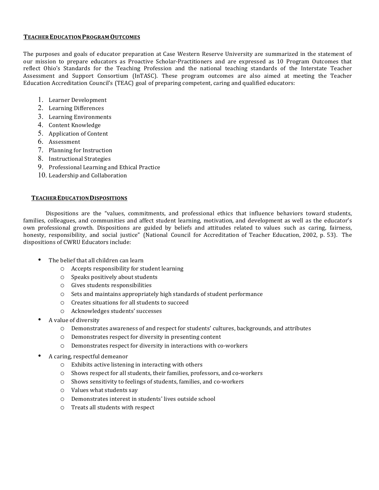#### **TEACHEREDUCATIONPROGRAM OUTCOMES**

The purposes and goals of educator preparation at Case Western Reserve University are summarized in the statement of our mission to prepare educators as Proactive Scholar-Practitioners and are expressed as 10 Program Outcomes that reflect Ohio's Standards for the Teaching Profession and the national teaching standards of the Interstate Teacher Assessment and Support Consortium (InTASC). These program outcomes are also aimed at meeting the Teacher Education Accreditation Council's (TEAC) goal of preparing competent, caring and qualified educators:

- 1. Learner Development
- 2. Learning Differences
- 3. Learning Environments
- 4. Content Knowledge
- 5. Application of Content
- 6. Assessment
- 7. Planning for Instruction
- 8. Instructional Strategies
- 9. Professional Learning and Ethical Practice
- 10. Leadership and Collaboration

### **TEACHER EDUCATION DISPOSITIONS**

Dispositions are the "values, commitments, and professional ethics that influence behaviors toward students, families, colleagues, and communities and affect student learning, motivation, and development as well as the educator's own professional growth. Dispositions are guided by beliefs and attitudes related to values such as caring, fairness, honesty, responsibility, and social justice" (National Council for Accreditation of Teacher Education, 2002, p. 53). The dispositions of CWRU Educators include:

- $\bullet$  The belief that all children can learn
	- $\circ$  Accepts responsibility for student learning
	- $\circ$  Speaks positively about students
	- $\circ$  Gives students responsibilities
	- $\circ$  Sets and maintains appropriately high standards of student performance
	- $\circ$  Creates situations for all students to succeed
	- o Acknowledges students' successes
- A value of diversity
	- $\circ$  Demonstrates awareness of and respect for students' cultures, backgrounds, and attributes
	- $\circ$  Demonstrates respect for diversity in presenting content
	- $\circ$  Demonstrates respect for diversity in interactions with co-workers
- A caring, respectful demeanor
	- $\circ$  Exhibits active listening in interacting with others
	- $\circ$  Shows respect for all students, their families, professors, and co-workers
	- o Shows sensitivity to feelings of students, families, and co-workers
	- $\circ$  Values what students say
	- $\circ$  Demonstrates interest in students' lives outside school
	- o Treats all students with respect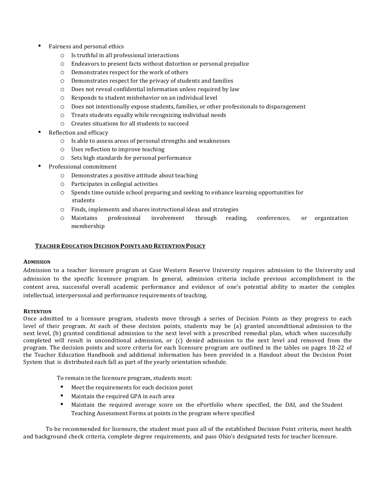- Fairness and personal ethics
	- $\circ$  Is truthful in all professional interactions
	- $\circ$  Endeavors to present facts without distortion or personal prejudice
	- $O$  Demonstrates respect for the work of others
	- $\circ$  Demonstrates respect for the privacy of students and families
	- $\circ$  Does not reveal confidential information unless required by law
	- $\circ$  Responds to student misbehavior on an individual level
	- $\circ$  Does not intentionally expose students, families, or other professionals to disparagement
	- $O$  Treats students equally while recognizing individual needs
	- $\circ$  Creates situations for all students to succeed
- Reflection and efficacy
	- $\circ$  Is able to assess areas of personal strengths and weaknesses
	- $\circ$  Uses reflection to improve teaching
	- $\circ$  Sets high standards for personal performance
- Professional commitment
	- $\circ$  Demonstrates a positive attitude about teaching
	- $\circ$  Participates in collegial activities
	- $\circ$  Spends time outside school preparing and seeking to enhance learning opportunities for students
	- $\circ$  Finds, implements and shares instructional ideas and strategies
	- o Maintains professional involvement through reading, conferences, or organization membership

#### **TEACHER EDUCATION DECISION POINTS AND RETENTION POLICY**

#### **ADMISSION**

Admission to a teacher licensure program at Case Western Reserve University requires admission to the University and admission to the specific licensure program. In general, admission criteria include previous accomplishment in the content area, successful overall academic performance and evidence of one's potential ability to master the complex intellectual, interpersonal and performance requirements of teaching.

### **RETENTION**

Once admitted to a licensure program, students move through a series of Decision Points as they progress to each level of their program. At each of these decision points, students may be (a) granted unconditional admission to the next level, (b) granted conditional admission to the next level with a prescribed remedial plan, which when successfully completed will result in unconditional admission, or (c) denied admission to the next level and removed from the program. The decision points and score criteria for each licensure program are outlined in the tables on pages 18-22 of the Teacher Education Handbook and additional information has been provided in a Handout about the Decision Point System that is distributed each fall as part of the yearly orientation schedule.

To remain in the licensure program, students must:

- Meet the requirements for each decision point
- Maintain the required GPA in each area
- Maintain the required average score on the ePortfolio where specified, the DAI, and the Student Teaching Assessment Forms at points in the program where specified

To be recommended for licensure, the student must pass all of the established Decision Point criteria, meet health and background check criteria, complete degree requirements, and pass Ohio's designated tests for teacher licensure.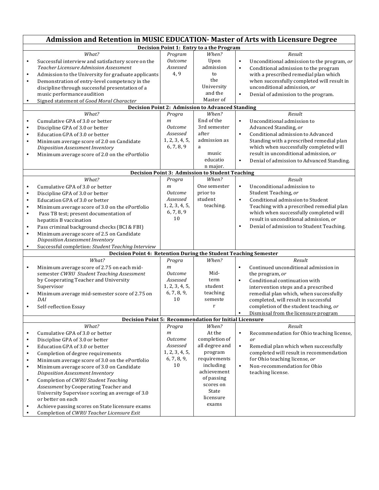|                                                                                         | Admission and Retention in MUSIC EDUCATION- Master of Arts with Licensure Degree                                                                                                                                                                                                                                                                                                                                                                                                                                                              |                                                                                               |                                                                                                                                                                     |                                                                                                                                                                                                                                                                                                                                         |  |
|-----------------------------------------------------------------------------------------|-----------------------------------------------------------------------------------------------------------------------------------------------------------------------------------------------------------------------------------------------------------------------------------------------------------------------------------------------------------------------------------------------------------------------------------------------------------------------------------------------------------------------------------------------|-----------------------------------------------------------------------------------------------|---------------------------------------------------------------------------------------------------------------------------------------------------------------------|-----------------------------------------------------------------------------------------------------------------------------------------------------------------------------------------------------------------------------------------------------------------------------------------------------------------------------------------|--|
|                                                                                         | Decision Point 1: Entry to a the Program                                                                                                                                                                                                                                                                                                                                                                                                                                                                                                      |                                                                                               |                                                                                                                                                                     |                                                                                                                                                                                                                                                                                                                                         |  |
| $\bullet$<br>$\bullet$<br>$\bullet$<br>$\bullet$                                        | What?<br>Successful interview and satisfactory score on the<br>Teacher Licensure Admission Assessment<br>Admission to the University for graduate applicants<br>Demonstration of entry-level competency in the<br>discipline through successful presentation of a<br>music performance audition<br>Signed statement of Good Moral Character                                                                                                                                                                                                   | Program<br><b>Outcome</b><br>Assessed<br>4, 9                                                 | When?<br>Upon<br>admission<br>to<br>the<br>University<br>and the<br>Master of<br><b>Decision Point 2: Admission to Advanced Standing</b>                            | Result<br>Unconditional admission to the program, or<br>$\bullet$<br>Conditional admission to the program<br>$\bullet$<br>with a prescribed remedial plan which<br>when successfully completed will result in<br>unconditional admission, or<br>Denial of admission to the program.<br>$\bullet$                                        |  |
|                                                                                         | $\bar{W}$ hat?                                                                                                                                                                                                                                                                                                                                                                                                                                                                                                                                | Progra                                                                                        | When?                                                                                                                                                               | Result                                                                                                                                                                                                                                                                                                                                  |  |
| $\bullet$<br>$\bullet$<br>$\bullet$<br>$\bullet$<br>$\bullet$                           | Cumulative GPA of 3.0 or better<br>Discipline GPA of 3.0 or better<br>Education GPA of 3.0 or better<br>Minimum average score of 2.0 on Candidate<br>Disposition Assessment Inventory<br>Minimum average score of 2.0 on the ePortfolio                                                                                                                                                                                                                                                                                                       | $\mathfrak{m}$<br><i>Outcome</i><br>Assessed<br>1, 2, 3, 4, 5,<br>6, 7, 8, 9                  | End of the<br>3rd semester<br>after<br>admission as<br>a<br>music<br>educatio                                                                                       | $\bullet$<br>Unconditional admission to<br>Advanced Standing, or<br>Conditional admission to Advanced<br>$\bullet$<br>Standing with a prescribed remedial plan<br>which when successfully completed will<br>result in unconditional admission, or<br>Denial of admission to Advanced Standing.<br>$\bullet$                             |  |
|                                                                                         |                                                                                                                                                                                                                                                                                                                                                                                                                                                                                                                                               |                                                                                               | n major.<br><b>Decision Point 3: Admission to Student Teaching</b>                                                                                                  |                                                                                                                                                                                                                                                                                                                                         |  |
| $\bullet$<br>$\bullet$<br>$\bullet$                                                     | What?<br>Cumulative GPA of 3.0 or better<br>Discipline GPA of 3.0 or better<br>Education GPA of 3.0 or better                                                                                                                                                                                                                                                                                                                                                                                                                                 | Progra<br>$\mathfrak{m}$<br><i>Outcome</i><br>Assessed                                        | When?<br>One semester<br>prior to<br>student                                                                                                                        | Result<br>Unconditional admission to<br>$\bullet$<br>Student Teaching, or<br>$\bullet$<br>Conditional admission to Student                                                                                                                                                                                                              |  |
| $\bullet$<br>$\bullet$                                                                  | Minimum average score of 3.0 on the ePortfolio<br>Pass TB test; present documentation of<br>hepatitis B vaccination                                                                                                                                                                                                                                                                                                                                                                                                                           | 1, 2, 3, 4, 5,<br>6, 7, 8, 9<br>10                                                            | teaching.                                                                                                                                                           | Teaching with a prescribed remedial plan<br>which when successfully completed will<br>result in unconditional admission, or                                                                                                                                                                                                             |  |
| $\bullet$<br>$\bullet$<br>$\bullet$                                                     | Pass criminal background checks (BCI & FBI)<br>Minimum average score of 2.5 on Candidate<br>Disposition Assessment Inventory<br>Successful completion: Student Teaching Interview                                                                                                                                                                                                                                                                                                                                                             |                                                                                               |                                                                                                                                                                     | Denial of admission to Student Teaching.<br>$\bullet$                                                                                                                                                                                                                                                                                   |  |
|                                                                                         | Decision Point 4: Retention During the Student Teaching Semester                                                                                                                                                                                                                                                                                                                                                                                                                                                                              |                                                                                               |                                                                                                                                                                     |                                                                                                                                                                                                                                                                                                                                         |  |
| $\bullet$<br>$\bullet$<br>$\bullet$                                                     | What?<br>Minimum average score of 2.75 on each mid-<br>semester CWRU Student Teaching Assessment<br>by Cooperating Teacher and University<br>Supervisor<br>Minimum average mid-semester score of 2.75 on<br>DAI<br>Self-reflection Essay                                                                                                                                                                                                                                                                                                      | Progra<br>$\mathfrak{m}$<br><b>Outcome</b><br>Assessed<br>1, 2, 3, 4, 5,<br>6, 7, 8, 9,<br>10 | When?<br>Mid-<br>term<br>student<br>teaching<br>semeste<br>$\mathbf r$                                                                                              | Result<br>Continued unconditional admission in<br>$\bullet$<br>the program, or<br>Conditional continuation with<br>$\bullet$<br>intervention steps and a prescribed<br>remedial plan which, when successfully<br>completed, will result in successful<br>completion of the student teaching, or<br>Dismissal from the licensure program |  |
|                                                                                         |                                                                                                                                                                                                                                                                                                                                                                                                                                                                                                                                               |                                                                                               | <b>Decision Point 5: Recommendation for Initial Licensure</b>                                                                                                       |                                                                                                                                                                                                                                                                                                                                         |  |
| $\bullet$<br>$\bullet$<br>$\bullet$<br>$\bullet$<br>$\bullet$<br>$\bullet$<br>$\bullet$ | What?<br>Cumulative GPA of 3.0 or better<br>Discipline GPA of 3.0 or better<br>Education GPA of 3.0 or better<br>Completion of degree requirements<br>Minimum average score of 3.0 on the ePortfolio<br>Minimum average score of 3.0 on Candidate<br>Disposition Assessment Inventory<br>Completion of CWRU Student Teaching<br>Assessment by Cooperating Teacher and<br>University Supervisor scoring an average of 3.0<br>or better on each<br>Achieve passing scores on State licensure exams<br>Completion of CWRU Teacher Licensure Exit | Progra<br>$\mathfrak{m}$<br><b>Outcome</b><br>Assessed<br>1, 2, 3, 4, 5,<br>6, 7, 8, 9,<br>10 | When?<br>At the<br>completion of<br>all degree and<br>program<br>requirements<br>including<br>achievement<br>of passing<br>scores on<br>State<br>licensure<br>exams | Result<br>Recommendation for Ohio teaching license,<br>$\bullet$<br>or<br>$\bullet$<br>Remedial plan which when successfully<br>completed will result in recommendation<br>for Ohio teaching license, or<br>$\bullet$<br>Non-recommendation for Ohio<br>teaching license.                                                               |  |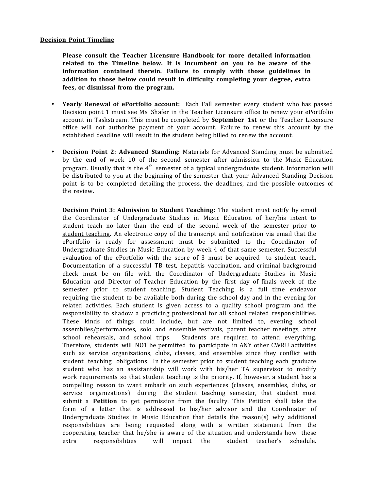#### **Decision Point Timeline**

**Please consult the Teacher Licensure Handbook for more detailed information related to the Timeline below. It is incumbent on you to be aware of the information contained therein. Failure to comply with those guidelines in addition to those below could result in difficulty completing your degree, extra fees, or dismissal from the program.**

- **Yearly Renewal of ePortfolio account:**  Each Fall semester every student who has passed Decision point 1 must see Ms. Shafer in the Teacher Licensure office to renew your ePortfolio account in Taskstream. This must be completed by **September 1st** or the Teacher Licensure office will not authorize payment of your account. Failure to renew this account by the established deadline will result in the student being billed to renew the account.
- **Decision Point 2: Advanced Standing:** Materials for Advanced Standing must be submitted by the end of week 10 of the second semester after admission to the Music Education program. Usually that is the  $4^{\text{th}}$  semester of a typical undergraduate student. Information will be distributed to you at the beginning of the semester that your Advanced Standing Decision point is to be completed detailing the process, the deadlines, and the possible outcomes of the review.

**Decision Point 3: Admission to Student Teaching:** The student must notify by email the Coordinator of Undergraduate Studies in Music Education of her/his intent to student teach no later than the end of the second week of the semester prior to student teaching. An electronic copy of the transcript and notification via email that the ePortfolio is ready for assessment must be submitted to the Coordinator of Undergraduate Studies in Music Education by week 4 of that same semester. Successful evaluation of the ePortfolio with the score of 3 must be acquired to student teach. Documentation of a successful TB test, hepatitis vaccination, and criminal background check must be on file with the Coordinator of Undergraduate Studies in Music Education and Director of Teacher Education by the first day of finals week of the semester prior to student teaching. Student Teaching is a full time endeavor requiring the student to be available both during the school day and in the evening for related activities. Each student is given access to a quality school program and the responsibility to shadow a practicing professional for all school related responsibilities. These kinds of things could include, but are not limited to, evening school assemblies/performances, solo and ensemble festivals, parent teacher meetings, after school rehearsals, and school trips. Students are required to attend everything. Therefore, students will NOT be permitted to participate in ANY other CWRU activities such as service organizations, clubs, classes, and ensembles since they conflict with student teaching obligations. In the semester prior to student teaching each graduate student who has an assistantship will work with his/her TA supervisor to modify work requirements so that student teaching is the priority. If, however, a student has a compelling reason to want embark on such experiences (classes, ensembles, clubs, or service organizations) during the student teaching semester, that student must submit a **Petition** to get permission from the faculty. This Petition shall take the form of a letter that is addressed to his/her advisor and the Coordinator of Undergraduate Studies in Music Education that details the reason(s) why additional responsibilities are being requested along with a written statement from the cooperating teacher that he/she is aware of the situation and understands how these extra responsibilities will impact the student teacher's schedule.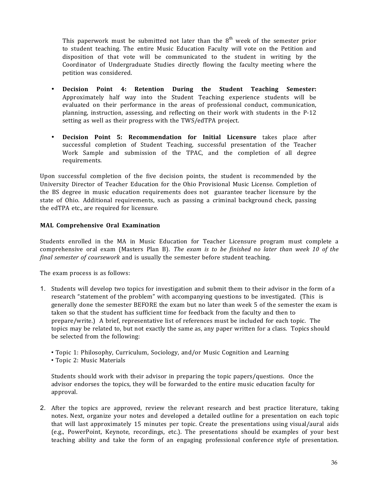This paperwork must be submitted not later than the  $8^{\rm th}$  week of the semester prior to student teaching. The entire Music Education Faculty will vote on the Petition and disposition of that vote will be communicated to the student in writing by the Coordinator of Undergraduate Studies directly flowing the faculty meeting where the petition was considered.

- **Decision Point 4: Retention During the Student Teaching Semester:** Approximately half way into the Student Teaching experience students will be evaluated on their performance in the areas of professional conduct, communication, planning, instruction, assessing, and reflecting on their work with students in the P-12 setting as well as their progress with the TWS/edTPA project.
- **Decision Point 5: Recommendation for Initial Licensure** takes place after successful completion of Student Teaching, successful presentation of the Teacher Work Sample and submission of the TPAC, and the completion of all degree requirements.

Upon successful completion of the five decision points, the student is recommended by the University Director of Teacher Education for the Ohio Provisional Music License. Completion of the BS degree in music education requirements does not guarantee teacher licensure by the state of Ohio. Additional requirements, such as passing a criminal background check, passing the edTPA etc., are required for licensure.

## **MAL Comprehensive Oral Examination**

Students enrolled in the MA in Music Education for Teacher Licensure program must complete a comprehensive oral exam (Masters Plan B). *The exam is to be finished no later than week 10 of the final semester of coursework* and is usually the semester before student teaching.

The exam process is as follows:

- 1. Students will develop two topics for investigation and submit them to their advisor in the form of a research "statement of the problem" with accompanying questions to be investigated. (This is generally done the semester BEFORE the exam but no later than week 5 of the semester the exam is taken so that the student has sufficient time for feedback from the faculty and then to prepare/write.) A brief, representative list of references must be included for each topic. The topics may be related to, but not exactly the same as, any paper written for a class. Topics should be selected from the following:
	- Topic 1: Philosophy, Curriculum, Sociology, and/or Music Cognition and Learning
	- Topic 2: Music Materials

Students should work with their advisor in preparing the topic papers/questions. Once the advisor endorses the topics, they will be forwarded to the entire music education faculty for approval.

2. After the topics are approved, review the relevant research and best practice literature, taking notes. Next, organize your notes and developed a detailed outline for a presentation on each topic that will last approximately 15 minutes per topic. Create the presentations using visual/aural aids (e.g., PowerPoint, Keynote, recordings, etc.). The presentations should be examples of your best teaching ability and take the form of an engaging professional conference style of presentation.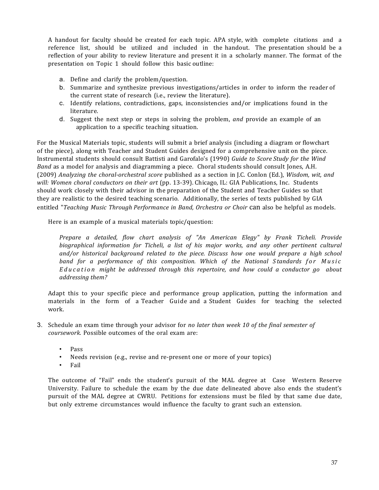A handout for faculty should be created for each topic. APA style, with complete citations and a reference list, should be utilized and included in the handout. The presentation should be a reflection of your ability to review literature and present it in a scholarly manner. The format of the presentation on Topic 1 should follow this basic outline:

- a. Define and clarify the problem/question.
- b. Summarize and synthesize previous investigations/articles in order to inform the reader of the current state of research (i.e., review the literature).
- c. Identify relations, contradictions, gaps, inconsistencies and/or implications found in the literature.
- d. Suggest the next step or steps in solving the problem, *and* provide an example of an application to a specific teaching situation.

For the Musical Materials topic, students will submit a brief analysis (including a diagram or flowchart of the piece), along with Teacher and Student Guides designed for a comprehensive unit on the piece. Instrumental students should consult Battisti and Garofalo's (1990) *Guide to Score Study for the Wind Band* as a model for analysis and diagramming a piece. Choral students should consult Jones, A.H. (2009) *Analyzing the choral-orchestral score* published as a section in J.C. Conlon (Ed.), *Wisdom, wit, and will: Women choral conductors on their art* (pp. 13-39). Chicago, IL: GIA Publications, Inc. Students should work closely with their advisor in the preparation of the Student and Teacher Guides so that they are realistic to the desired teaching scenario. Additionally, the series of texts published by GIA entitled "*Teaching Music Through Performance in Band, Orchestra or Choir* can also be helpful as models.

Here is an example of a musical materials topic/question:

*Prepare a detailed, flow chart analysis of "An American Elegy" by Frank Ticheli. Provide biographical information for Ticheli, a list of his major works, and any other pertinent cultural and/or historical background related to the piece. Discuss how one would prepare a high school band for a performance of this composition. Which of the National S tandards for Music Education might be addressed through this repertoire, and how could a conductor go about addressing them?*

Adapt this to your specific piece and performance group application, putting the information and materials in the form of a Teacher Guide and a Student Guides for teaching the selected work.

- 3. Schedule an exam time through your advisor for *no later than week 10 of the final semester of coursework*. Possible outcomes of the oral exam are:
	- Pass
	- Needs revision (e.g., revise and re-present one or more of your topics)
	- Fail

The outcome of "Fail" ends the student's pursuit of the MAL degree at Case Western Reserve University. Failure to schedule the exam by the due date delineated above also ends the student's pursuit of the MAL degree at CWRU. Petitions for extensions must be filed by that same due date, but only extreme circumstances would influence the faculty to grant such an extension.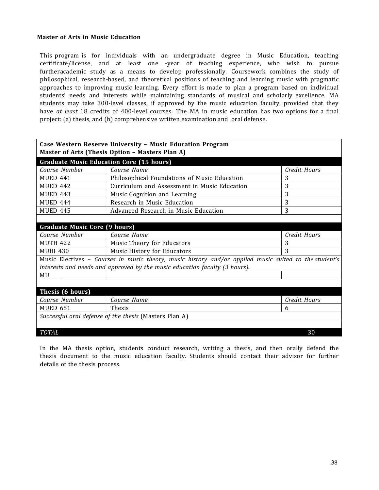## **Master of Arts in Music Education**

This program is for individuals with an undergraduate degree in Music Education, teaching certificate/license, and at least one -year of teaching experience, who wish to pursue furtheracademic study as a means to develop professionally. Coursework combines the study of philosophical, research-based, and theoretical positions of teaching and learning music with pragmatic approaches to improving music learning. Every effort is made to plan a program based on individual students' needs and interests while maintaining standards of musical and scholarly excellence. MA students may take 300-level classes, if approved by the music education faculty, provided that they have *at least* 18 credits of 400-level courses. The MA in music education has two options for a final project: (a) thesis, and (b) comprehensive written examination and oral defense.

| Case Western Reserve University ~ Music Education Program<br>Master of Arts (Thesis Option - Masters Plan A) |                                                                                                       |              |  |  |
|--------------------------------------------------------------------------------------------------------------|-------------------------------------------------------------------------------------------------------|--------------|--|--|
| <b>Graduate Music Education Core (15 hours)</b>                                                              |                                                                                                       |              |  |  |
| Course Number                                                                                                | Course Name                                                                                           | Credit Hours |  |  |
| MUED 441                                                                                                     | Philosophical Foundations of Music Education                                                          | 3            |  |  |
| MUED 442                                                                                                     | Curriculum and Assessment in Music Education                                                          | 3            |  |  |
| <b>MUED 443</b>                                                                                              | Music Cognition and Learning                                                                          | 3            |  |  |
| MUED 444                                                                                                     | Research in Music Education                                                                           | 3            |  |  |
| <b>MUED 445</b>                                                                                              | Advanced Research in Music Education                                                                  | 3            |  |  |
|                                                                                                              |                                                                                                       |              |  |  |
| <b>Graduate Music Core (9 hours)</b>                                                                         |                                                                                                       |              |  |  |
| Course Number                                                                                                | Course Name                                                                                           | Credit Hours |  |  |
| <b>MUTH 422</b>                                                                                              | Music Theory for Educators<br>3                                                                       |              |  |  |
| 3<br><b>MUHI 430</b><br>Music History for Educators                                                          |                                                                                                       |              |  |  |
|                                                                                                              | Music Electives - Courses in music theory, music history and/or applied music suited to the student's |              |  |  |
|                                                                                                              | interests and needs and approved by the music education faculty (3 hours).                            |              |  |  |
| MU Q                                                                                                         |                                                                                                       |              |  |  |
|                                                                                                              |                                                                                                       |              |  |  |
| Thesis (6 hours)                                                                                             |                                                                                                       |              |  |  |
| Course Number                                                                                                | Course Name                                                                                           | Credit Hours |  |  |
| <b>MUED 651</b>                                                                                              | <b>Thesis</b>                                                                                         | 6            |  |  |
| Successful oral defense of the thesis (Masters Plan A)                                                       |                                                                                                       |              |  |  |
|                                                                                                              |                                                                                                       |              |  |  |
| <b>TOTAL</b>                                                                                                 |                                                                                                       | 30           |  |  |

In the MA thesis option, students conduct research, writing a thesis, and then orally defend the thesis document to the music education faculty. Students should contact their advisor for further details of the thesis process.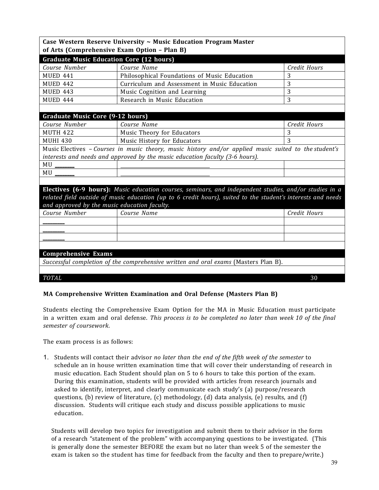|                                  | Case Western Reserve University $\sim$ Music Education Program Master                                        |                   |
|----------------------------------|--------------------------------------------------------------------------------------------------------------|-------------------|
|                                  | of Arts (Comprehensive Exam Option - Plan B)                                                                 |                   |
|                                  | <b>Graduate Music Education Core (12 hours)</b>                                                              |                   |
| Course Number                    | Course Name                                                                                                  | Credit Hours      |
| <b>MUED 441</b>                  | Philosophical Foundations of Music Education                                                                 | 3                 |
| <b>MUED 442</b>                  | Curriculum and Assessment in Music Education                                                                 | 3                 |
| <b>MUED 443</b>                  | Music Cognition and Learning                                                                                 | 3                 |
| <b>MUED 444</b>                  | Research in Music Education                                                                                  | 3                 |
|                                  |                                                                                                              |                   |
| Graduate Music Core (9-12 hours) | Course Name                                                                                                  |                   |
| Course Number<br><b>MUTH 422</b> |                                                                                                              | Credit Hours<br>3 |
|                                  | Music Theory for Educators                                                                                   | 3                 |
| <b>MUHI 430</b>                  | Music History for Educators                                                                                  |                   |
|                                  | Music Electives - Courses in music theory, music history and/or applied music suited to the student's        |                   |
|                                  | interests and needs and approved by the music education faculty (3-6 hours).                                 |                   |
|                                  |                                                                                                              |                   |
| MU                               |                                                                                                              |                   |
|                                  |                                                                                                              |                   |
|                                  | Electives (6-9 hours): Music education courses, seminars, and independent studies, and/or studies in a       |                   |
|                                  | related field outside of music education (up to 6 credit hours), suited to the student's interests and needs |                   |
|                                  | and approved by the music education faculty.                                                                 |                   |
| Course Number                    | Course Name                                                                                                  | Credit Hours      |
|                                  |                                                                                                              |                   |
|                                  |                                                                                                              |                   |
|                                  |                                                                                                              |                   |
|                                  |                                                                                                              |                   |
| <b>Comprehensive Exams</b>       |                                                                                                              |                   |
|                                  | Successful completion of the comprehensive written and oral exams (Masters Plan B).                          |                   |
|                                  |                                                                                                              |                   |
| <b>TOTAL</b>                     |                                                                                                              | 30                |

# **MA Comprehensive Written Examination and Oral Defense (Masters Plan B)**

Students electing the Comprehensive Exam Option for the MA in Music Education must participate in a written exam and oral defense. *This process is to be completed no later than week 10 of the final semester of coursework*.

The exam process is as follows:

1. Students will contact their advisor *no later than the end of the fifth week of the semester* to schedule an in house written examination time that will cover their understanding of research in music education. Each Student should plan on 5 to 6 hours to take this portion of the exam. During this examination, students will be provided with articles from research journals and asked to identify, interpret, and clearly communicate each study's (a) purpose/research questions, (b) review of literature, (c) methodology, (d) data analysis, (e) results, and (f) discussion. Students will critique each study and discuss possible applications to music education.

Students will develop two topics for investigation and submit them to their advisor in the form of a research "statement of the problem" with accompanying questions to be investigated. (This is generally done the semester BEFORE the exam but no later than week 5 of the semester the exam is taken so the student has time for feedback from the faculty and then to prepare/write.)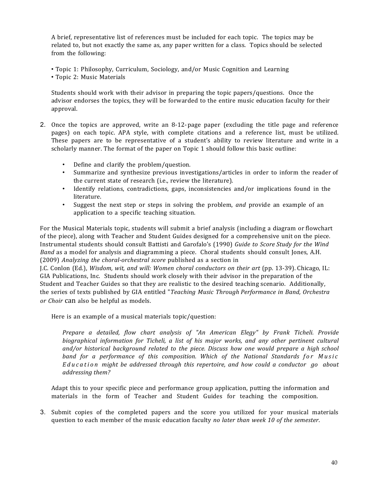A brief, representative list of references must be included for each topic. The topics may be related to, but not exactly the same as, any paper written for a class. Topics should be selected from the following:

• Topic 1: Philosophy, Curriculum, Sociology, and/or Music Cognition and Learning

• Topic 2: Music Materials

Students should work with their advisor in preparing the topic papers/questions. Once the advisor endorses the topics, they will be forwarded to the entire music education faculty for their approval.

- 2. Once the topics are approved, write an 8-12-page paper (excluding the title page and reference pages) on each topic. APA style, with complete citations and a reference list, must be utilized. These papers are to be representative of a student's ability to review literature and write in a scholarly manner. The format of the paper on Topic 1 should follow this basic outline:
	- Define and clarify the problem/question.
	- Summarize and synthesize previous investigations/articles in order to inform the reader of the current state of research (i.e., review the literature).
	- Identify relations, contradictions, gaps, inconsistencies and/or implications found in the literature.
	- Suggest the next step or steps in solving the problem, *and* provide an example of an application to a specific teaching situation.

For the Musical Materials topic, students will submit a brief analysis (including a diagram or flowchart of the piece), along with Teacher and Student Guides designed for a comprehensive unit on the piece. Instrumental students should consult Battisti and Garofalo's (1990) *Guide to Score Study for the Wind* Band as a model for analysis and diagramming a piece. Choral students should consult Jones, A.H. (2009) *Analyzing the choral-orchestral score* published as a section in

J.C. Conlon (Ed.), *Wisdom, wit, and will: Women choral conductors on their art* (pp. 13-39). Chicago, IL: GIA Publications, Inc. Students should work closely with their advisor in the preparation of the Student and Teacher Guides so that they are realistic to the desired teaching scenario. Additionally, the series of texts published by GIA entitled "*Teaching Music Through Performance in Band, Orchestra or Choir* can also be helpful as models.

Here is an example of a musical materials topic/question:

*Prepare a detailed, flow chart analysis of "An American Elegy" by Frank Ticheli. Provide biographical information for Ticheli, a list of his major works, and any other pertinent cultural and/or historical background related to the piece. Discuss how one would prepare a high school band for a performance of this composition. Which of the National Standards for Music Education might be addressed through this repertoire, and how could a conductor go about addressing them?*

Adapt this to your specific piece and performance group application, putting the information and materials in the form of Teacher and Student Guides for teaching the composition.

3. Submit copies of the completed papers and the score you utilized for your musical materials question to each member of the music education faculty *no later than week 10 of the semester*.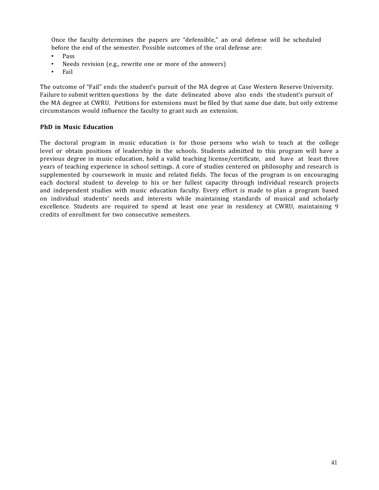Once the faculty determines the papers are "defensible," an oral defense will be scheduled before the end of the semester. Possible outcomes of the oral defense are:

- Pass
- Needs revision (e.g., rewrite one or more of the answers)
- Fail

The outcome of "Fail" ends the student's pursuit of the MA degree at Case Western Reserve University. Failure to submit written questions by the date delineated above also ends the student's pursuit of the MA degree at CWRU. Petitions for extensions must be filed by that same due date, but only extreme circumstances would influence the faculty to grant such an extension.

## **PhD in Music Education**

The doctoral program in music education is for those persons who wish to teach at the college level or obtain positions of leadership in the schools. Students admitted to this program will have a previous degree in music education, hold a valid teaching license/certificate, and have at least three years of teaching experience in school settings. A core of studies centered on philosophy and research is supplemented by coursework in music and related fields. The focus of the program is on encouraging each doctoral student to develop to his or her fullest capacity through individual research projects and independent studies with music education faculty. Every effort is made to plan a program based on individual students' needs and interests while maintaining standards of musical and scholarly excellence. Students are required to spend at least one year in residency at CWRU, maintaining 9 credits of enrollment for two consecutive semesters.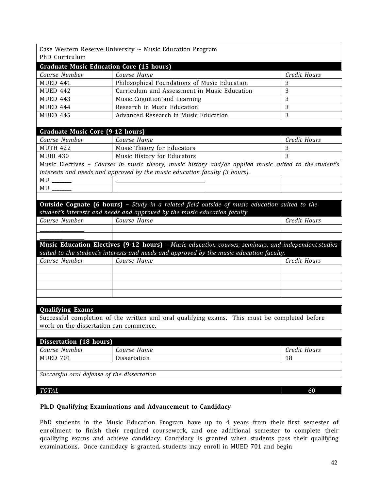|                                                 | Case Western Reserve University $\sim$ Music Education Program                                                                                                                                  |              |
|-------------------------------------------------|-------------------------------------------------------------------------------------------------------------------------------------------------------------------------------------------------|--------------|
| PhD Curriculum                                  |                                                                                                                                                                                                 |              |
| <b>Graduate Music Education Core (15 hours)</b> |                                                                                                                                                                                                 |              |
| Course Number                                   | Course Name                                                                                                                                                                                     | Credit Hours |
| <b>MUED 441</b>                                 | Philosophical Foundations of Music Education                                                                                                                                                    | 3            |
| <b>MUED 442</b>                                 | Curriculum and Assessment in Music Education                                                                                                                                                    | 3            |
| <b>MUED 443</b>                                 | Music Cognition and Learning                                                                                                                                                                    | 3            |
| <b>MUED 444</b>                                 | Research in Music Education                                                                                                                                                                     | 3            |
| <b>MUED 445</b>                                 | Advanced Research in Music Education                                                                                                                                                            | 3            |
|                                                 |                                                                                                                                                                                                 |              |
| Graduate Music Core (9-12 hours)                |                                                                                                                                                                                                 |              |
| Course Number                                   | Course Name                                                                                                                                                                                     | Credit Hours |
| <b>MUTH 422</b>                                 | Music Theory for Educators                                                                                                                                                                      | 3            |
| <b>MUHI 430</b>                                 | Music History for Educators                                                                                                                                                                     | 3            |
|                                                 | Music Electives - Courses in music theory, music history and/or applied music suited to the student's                                                                                           |              |
|                                                 | interests and needs and approved by the music education faculty (3 hours).                                                                                                                      |              |
| MU                                              |                                                                                                                                                                                                 |              |
| MU                                              |                                                                                                                                                                                                 |              |
|                                                 |                                                                                                                                                                                                 |              |
|                                                 | Outside Cognate (6 hours) - Study in a related field outside of music education suited to the                                                                                                   |              |
|                                                 | student's interests and needs and approved by the music education faculty.                                                                                                                      |              |
| Course Number                                   | Course Name                                                                                                                                                                                     | Credit Hours |
|                                                 |                                                                                                                                                                                                 |              |
|                                                 |                                                                                                                                                                                                 |              |
|                                                 | Music Education Electives (9-12 hours) - Music education courses, seminars, and independent studies<br>suited to the student's interests and needs and approved by the music education faculty. |              |
| Course Number                                   | Course Name                                                                                                                                                                                     | Credit Hours |
|                                                 |                                                                                                                                                                                                 |              |
|                                                 |                                                                                                                                                                                                 |              |
|                                                 |                                                                                                                                                                                                 |              |
|                                                 |                                                                                                                                                                                                 |              |
|                                                 |                                                                                                                                                                                                 |              |
| <b>Qualifying Exams</b>                         |                                                                                                                                                                                                 |              |
|                                                 | Successful completion of the written and oral qualifying exams. This must be completed before                                                                                                   |              |
| work on the dissertation can commence.          |                                                                                                                                                                                                 |              |
|                                                 |                                                                                                                                                                                                 |              |
| Dissertation (18 hours)                         |                                                                                                                                                                                                 |              |
| Course Number                                   | Course Name                                                                                                                                                                                     | Credit Hours |
| <b>MUED 701</b>                                 | Dissertation                                                                                                                                                                                    | 18           |
|                                                 |                                                                                                                                                                                                 |              |
| Successful oral defense of the dissertation     |                                                                                                                                                                                                 |              |
|                                                 |                                                                                                                                                                                                 |              |
| TOTAL                                           |                                                                                                                                                                                                 | 60           |
|                                                 |                                                                                                                                                                                                 |              |

## **Ph.D Qualifying Examinations and Advancement to Candidacy**

PhD students in the Music Education Program have up to 4 years from their first semester of enrollment to finish their required coursework, and one additional semester to complete their qualifying exams and achieve candidacy. Candidacy is granted when students pass their qualifying examinations. Once candidacy is granted, students may enroll in MUED 701 and begin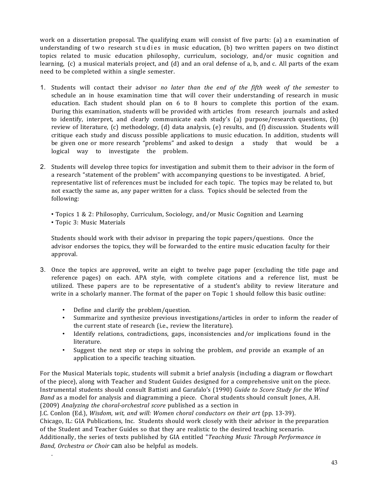work on a dissertation proposal. The qualifying exam will consist of five parts: (a) an examination of understanding of two research studies in music education, (b) two written papers on two distinct topics related to music education philosophy, curriculum, sociology, and/or music cognition and learning,  $(c)$  a musical materials project, and  $(d)$  and an oral defense of a, b, and c. All parts of the exam need to be completed within a single semester.

- 1. Students will contact their advisor *no later than the end of the fifth week of the semester* to schedule an in house examination time that will cover their understanding of research in music education. Each student should plan on 6 to 8 hours to complete this portion of the exam. During this examination, students will be provided with articles from research journals and asked to identify, interpret, and clearly communicate each study's (a) purpose/research questions, (b) review of literature, (c) methodology, (d) data analysis, (e) results, and (f) discussion. Students will critique each study and discuss possible applications to music education. In addition, students will be given one or more research "problems" and asked to design a study that would be a logical way to investigate the problem.
- 2. Students will develop three topics for investigation and submit them to their advisor in the form of a research "statement of the problem" with accompanying questions to be investigated. A brief, representative list of references must be included for each topic. The topics may be related to, but not exactly the same as, any paper written for a class. Topics should be selected from the following:
	- Topics 1 & 2: Philosophy, Curriculum, Sociology, and/or Music Cognition and Learning
	- Topic 3: Music Materials

.

Students should work with their advisor in preparing the topic papers/questions. Once the advisor endorses the topics, they will be forwarded to the entire music education faculty for their approval.

- 3. Once the topics are approved, write an eight to twelve page paper (excluding the title page and reference pages) on each. APA style, with complete citations and a reference list, must be utilized. These papers are to be representative of a student's ability to review literature and write in a scholarly manner. The format of the paper on Topic 1 should follow this basic outline:
	- Define and clarify the problem/question.
	- Summarize and synthesize previous investigations/articles in order to inform the reader of the current state of research (i.e., review the literature).
	- Identify relations, contradictions, gaps, inconsistencies and/or implications found in the literature.
	- Suggest the next step or steps in solving the problem, *and* provide an example of an application to a specific teaching situation.

For the Musical Materials topic, students will submit a brief analysis (including a diagram or flowchart of the piece), along with Teacher and Student Guides designed for a comprehensive unit on the piece. Instrumental students should consult Battisti and Garafalo's (1990) *Guide to Score Study for the Wind Band* as a model for analysis and diagramming a piece. Choral students should consult Jones, A.H. (2009) *Analyzing the choral-orchestral score* published as a section in

J.C. Conlon (Ed.), *Wisdom, wit, and will: Women choral conductors on their art* (pp. 13-39). Chicago, IL: GIA Publications, Inc. Students should work closely with their advisor in the preparation of the Student and Teacher Guides so that they are realistic to the desired teaching scenario. Additionally, the series of texts published by GIA entitled "*Teaching Music Through Performance in Band, Orchestra or Choir* can also be helpful as models.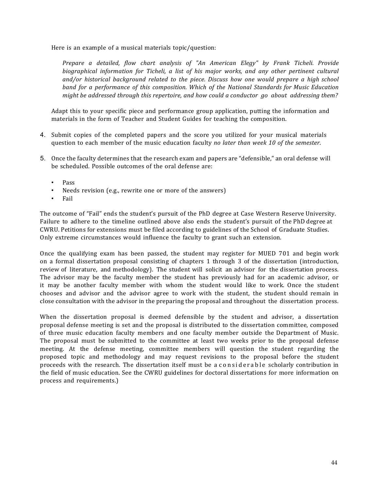Here is an example of a musical materials topic/question:

*Prepare a detailed, flow chart analysis of "An American Elegy" by Frank Ticheli. Provide biographical information for Ticheli, a list of his major works, and any other pertinent cultural and/or historical background related to the piece. Discuss how one would prepare a high school band for a performance of this composition. Which of the National Standards for Music Education might be addressed through this repertoire, and how could a conductor go about addressing them?*

Adapt this to your specific piece and performance group application, putting the information and materials in the form of Teacher and Student Guides for teaching the composition.

- 4. Submit copies of the completed papers and the score you utilized for your musical materials question to each member of the music education faculty *no later than week 10 of the semester*.
- 5. Once the faculty determines that the research exam and papers are "defensible," an oral defense will be scheduled. Possible outcomes of the oral defense are:
	- Pass
	- Needs revision (e.g., rewrite one or more of the answers)
	- Fail

The outcome of "Fail" ends the student's pursuit of the PhD degree at Case Western Reserve University. Failure to adhere to the timeline outlined above also ends the student's pursuit of the PhD degree at CWRU. Petitions for extensions must be filed according to guidelines of the School of Graduate Studies. Only extreme circumstances would influence the faculty to grant such an extension.

Once the qualifying exam has been passed, the student may register for MUED 701 and begin work on a formal dissertation proposal consisting of chapters 1 through 3 of the dissertation (introduction, review of literature, and methodology). The student will solicit an advisor for the dissertation process. The advisor may be the faculty member the student has previously had for an academic advisor, or it may be another faculty member with whom the student would like to work. Once the student chooses and advisor and the advisor agree to work with the student, the student should remain in close consultation with the advisor in the preparing the proposal and throughout the dissertation process.

When the dissertation proposal is deemed defensible by the student and advisor, a dissertation proposal defense meeting is set and the proposal is distributed to the dissertation committee, composed of three music education faculty members and one faculty member outside the Department of Music. The proposal must be submitted to the committee at least two weeks prior to the proposal defense meeting. At the defense meeting, committee members will question the student regarding the proposed topic and methodology and may request revisions to the proposal before the student proceeds with the research. The dissertation itself must be a considerable scholarly contribution in the field of music education. See the CWRU guidelines for doctoral dissertations for more information on process and requirements.)